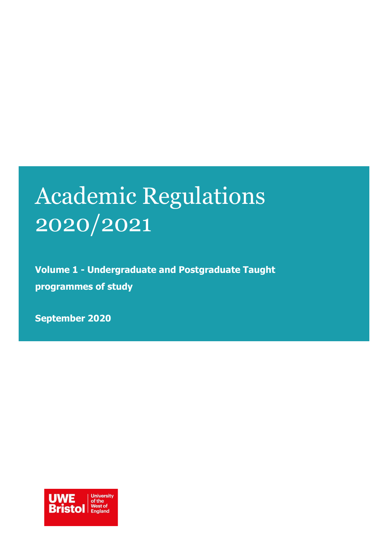# Academic Regulations 2020/2021

**Volume 1 - Undergraduate and Postgraduate Taught programmes of study**

**September 2020**

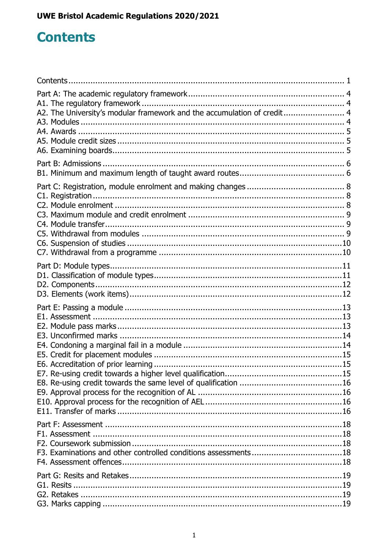## <span id="page-1-0"></span>**Contents**

| A2. The University's modular framework and the accumulation of credit 4 |  |
|-------------------------------------------------------------------------|--|
|                                                                         |  |
|                                                                         |  |
|                                                                         |  |
|                                                                         |  |
|                                                                         |  |
|                                                                         |  |
|                                                                         |  |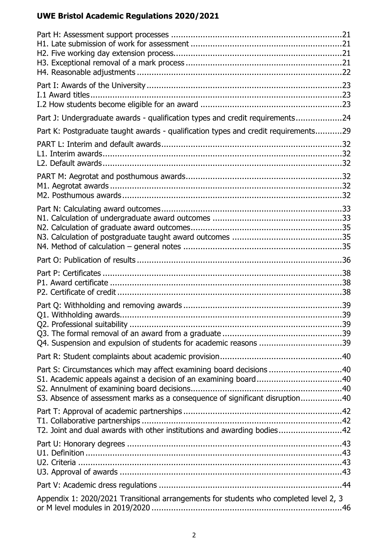| Part J: Undergraduate awards - qualification types and credit requirements24<br>Part K: Postgraduate taught awards - qualification types and credit requirements29<br>Part S: Circumstances which may affect examining board decisions 40<br>S3. Absence of assessment marks as a consequence of significant disruption40<br>T2. Joint and dual awards with other institutions and awarding bodies42<br>Appendix 1: 2020/2021 Transitional arrangements for students who completed level 2, 3 |  |
|-----------------------------------------------------------------------------------------------------------------------------------------------------------------------------------------------------------------------------------------------------------------------------------------------------------------------------------------------------------------------------------------------------------------------------------------------------------------------------------------------|--|
|                                                                                                                                                                                                                                                                                                                                                                                                                                                                                               |  |
|                                                                                                                                                                                                                                                                                                                                                                                                                                                                                               |  |
|                                                                                                                                                                                                                                                                                                                                                                                                                                                                                               |  |
|                                                                                                                                                                                                                                                                                                                                                                                                                                                                                               |  |
|                                                                                                                                                                                                                                                                                                                                                                                                                                                                                               |  |
|                                                                                                                                                                                                                                                                                                                                                                                                                                                                                               |  |
|                                                                                                                                                                                                                                                                                                                                                                                                                                                                                               |  |
|                                                                                                                                                                                                                                                                                                                                                                                                                                                                                               |  |
|                                                                                                                                                                                                                                                                                                                                                                                                                                                                                               |  |
|                                                                                                                                                                                                                                                                                                                                                                                                                                                                                               |  |
|                                                                                                                                                                                                                                                                                                                                                                                                                                                                                               |  |
|                                                                                                                                                                                                                                                                                                                                                                                                                                                                                               |  |
|                                                                                                                                                                                                                                                                                                                                                                                                                                                                                               |  |
|                                                                                                                                                                                                                                                                                                                                                                                                                                                                                               |  |
|                                                                                                                                                                                                                                                                                                                                                                                                                                                                                               |  |
|                                                                                                                                                                                                                                                                                                                                                                                                                                                                                               |  |
|                                                                                                                                                                                                                                                                                                                                                                                                                                                                                               |  |
|                                                                                                                                                                                                                                                                                                                                                                                                                                                                                               |  |
|                                                                                                                                                                                                                                                                                                                                                                                                                                                                                               |  |
|                                                                                                                                                                                                                                                                                                                                                                                                                                                                                               |  |
|                                                                                                                                                                                                                                                                                                                                                                                                                                                                                               |  |
|                                                                                                                                                                                                                                                                                                                                                                                                                                                                                               |  |
|                                                                                                                                                                                                                                                                                                                                                                                                                                                                                               |  |
|                                                                                                                                                                                                                                                                                                                                                                                                                                                                                               |  |
|                                                                                                                                                                                                                                                                                                                                                                                                                                                                                               |  |
|                                                                                                                                                                                                                                                                                                                                                                                                                                                                                               |  |
|                                                                                                                                                                                                                                                                                                                                                                                                                                                                                               |  |
|                                                                                                                                                                                                                                                                                                                                                                                                                                                                                               |  |
|                                                                                                                                                                                                                                                                                                                                                                                                                                                                                               |  |
|                                                                                                                                                                                                                                                                                                                                                                                                                                                                                               |  |
|                                                                                                                                                                                                                                                                                                                                                                                                                                                                                               |  |
|                                                                                                                                                                                                                                                                                                                                                                                                                                                                                               |  |
|                                                                                                                                                                                                                                                                                                                                                                                                                                                                                               |  |
|                                                                                                                                                                                                                                                                                                                                                                                                                                                                                               |  |
|                                                                                                                                                                                                                                                                                                                                                                                                                                                                                               |  |
|                                                                                                                                                                                                                                                                                                                                                                                                                                                                                               |  |
|                                                                                                                                                                                                                                                                                                                                                                                                                                                                                               |  |
|                                                                                                                                                                                                                                                                                                                                                                                                                                                                                               |  |
|                                                                                                                                                                                                                                                                                                                                                                                                                                                                                               |  |
|                                                                                                                                                                                                                                                                                                                                                                                                                                                                                               |  |
|                                                                                                                                                                                                                                                                                                                                                                                                                                                                                               |  |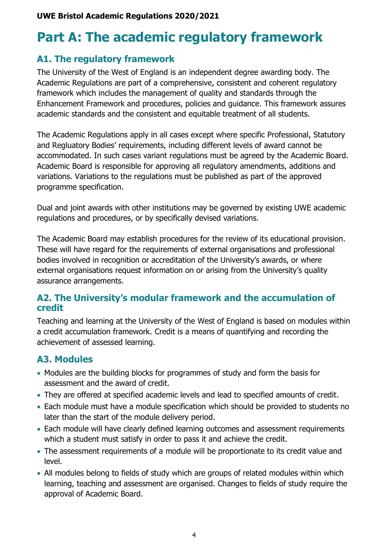## <span id="page-4-0"></span>**Part A: The academic regulatory framework**

### <span id="page-4-1"></span>**A1. The regulatory framework**

The University of the West of England is an independent degree awarding body. The Academic Regulations are part of a comprehensive, consistent and coherent regulatory framework which includes the management of quality and standards through the [Enhancement](http://www1.uwe.ac.uk/aboutus/departmentsandservices/professionalservices/corporateandacademicservice/quality/qualitymanagement.aspx) Framework and procedures, policies and guidance. This framework assures academic standards and the consistent and equitable treatment of all students.

The Academic Regulations apply in all cases except where specific Professional, Statutory and Regluatory Bodies' requirements, including different levels of award cannot be accommodated. In such cases variant regulations must be agreed by the Academic Board. Academic Board is responsible for approving all regulatory amendments, additions and variations. Variations to the regulations must be published as part of the approved programme specification.

Dual and joint awards with other institutions may be governed by existing UWE academic regulations and procedures, or by specifically devised variations.

The Academic Board may establish procedures for the review of its educational provision. These will have regard for the requirements of external organisations and professional bodies involved in recognition or accreditation of the University's awards, or where external organisations request information on or arising from the University's quality assurance arrangements.

### <span id="page-4-2"></span>**A2. The University's modular framework and the accumulation of credit**

Teaching and learning at the University of the West of England is based on modules within a credit accumulation framework. Credit is a means of quantifying and recording the achievement of assessed learning.

## <span id="page-4-3"></span>**A3. Modules**

- Modules are the building blocks for programmes of study and form the basis for assessment and the award of credit.
- They are offered at specified academic levels and lead to specified amounts of credit.
- Each module must have a module specification which should be provided to students no later than the start of the module delivery period.
- Each module will have clearly defined learning outcomes and assessment requirements which a student must satisfy in order to pass it and achieve the credit.
- The assessment requirements of a module will be proportionate to its credit value and level.
- All modules belong to fields of study which are groups of related modules within which learning, teaching and assessment are organised. Changes to fields of study require the approval of Academic Board.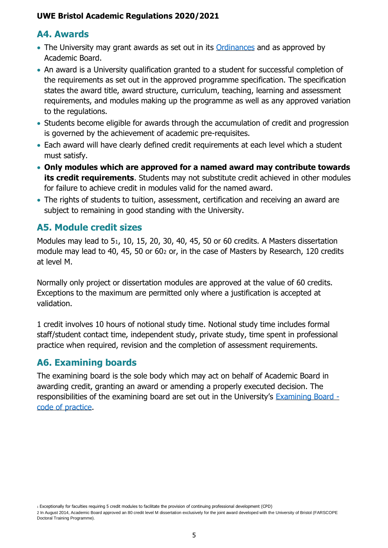## <span id="page-5-0"></span>**A4. Awards**

- The University may grant awards as set out in its [Ordinances](http://www2.uwe.ac.uk/services/Marketing/students/Student%20advice/University-Ordinances.pdf) and as approved by Academic Board.
- An award is a University qualification granted to a student for successful completion of the requirements as set out in the approved programme specification. The specification states the award title, award structure, curriculum, teaching, learning and assessment requirements, and modules making up the programme as well as any approved variation to the regulations.
- Students become eligible for awards through the accumulation of credit and progression is governed by the achievement of academic pre-requisites.
- Each award will have clearly defined credit requirements at each level which a student must satisfy.
- **Only modules which are approved for a named award may contribute towards its credit requirements**. Students may not substitute credit achieved in other modules for failure to achieve credit in modules valid for the named award.
- The rights of students to tuition, assessment, certification and receiving an award are subject to remaining in good standing with the University.

## <span id="page-5-1"></span>**A5. Module credit sizes**

Modules may lead to 51, 10, 15, 20, 30, 40, 45, 50 or 60 credits. A Masters dissertation module may lead to 40, 45, 50 or 60<sup>2</sup> or, in the case of Masters by Research, 120 credits at level M.

Normally only project or dissertation modules are approved at the value of 60 credits. Exceptions to the maximum are permitted only where a justification is accepted at validation.

1 credit involves 10 hours of notional study time. Notional study time includes formal staff/student contact time, independent study, private study, time spent in professional practice when required, revision and the completion of assessment requirements.

## <span id="page-5-2"></span>**A6. Examining boards**

The examining board is the sole body which may act on behalf of Academic Board in awarding credit, granting an award or amending a properly executed decision. The responsibilities of the examining board are set out in the University's [Examining Board](https://www1.uwe.ac.uk/about/departmentsandservices/professionalservices/studentandacademicservices/regulationspoliciesquality/regulationsandprocedures.aspx)  [code of practice.](https://www1.uwe.ac.uk/about/departmentsandservices/professionalservices/studentandacademicservices/regulationspoliciesquality/regulationsandprocedures.aspx)

<sup>1</sup> Exceptionally for faculties requiring 5 credit modules to facilitate the provision of continuing professional development (CPD)

<sup>2</sup> In August 2014, Academic Board approved an 80 credit level M dissertation exclusively for the joint award developed with the University of Bristol (FARSCOPE Doctoral Training Programme).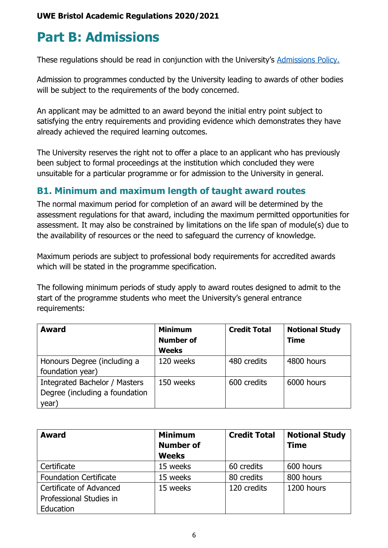## <span id="page-6-0"></span>**Part B: Admissions**

These regulations should be read in conjunction with the University's [Admissions Policy.](http://www2.uwe.ac.uk/services/Marketing/about-us/pdf/Policies/Admissions-Policy.pdf)

Admission to programmes conducted by the University leading to awards of other bodies will be subject to the requirements of the body concerned.

An applicant may be admitted to an award beyond the initial entry point subject to satisfying the entry requirements and providing evidence which demonstrates they have already achieved the required learning outcomes.

The University reserves the right not to offer a place to an applicant who has previously been subject to formal proceedings at the institution which concluded they were unsuitable for a particular programme or for admission to the University in general.

## <span id="page-6-1"></span>**B1. Minimum and maximum length of taught award routes**

The normal maximum period for completion of an award will be determined by the assessment regulations for that award, including the maximum permitted opportunities for assessment. It may also be constrained by limitations on the life span of module(s) due to the availability of resources or the need to safeguard the currency of knowledge.

Maximum periods are subject to professional body requirements for accredited awards which will be stated in the programme specification.

The following minimum periods of study apply to award routes designed to admit to the start of the programme students who meet the University's general entrance requirements:

| <b>Award</b>                                                             | <b>Minimum</b>                   | <b>Credit Total</b> | <b>Notional Study</b> |
|--------------------------------------------------------------------------|----------------------------------|---------------------|-----------------------|
|                                                                          | <b>Number of</b><br><b>Weeks</b> |                     | <b>Time</b>           |
| Honours Degree (including a<br>foundation year)                          | 120 weeks                        | 480 credits         | 4800 hours            |
| Integrated Bachelor / Masters<br>Degree (including a foundation<br>year) | 150 weeks                        | 600 credits         | 6000 hours            |

| <b>Award</b>                                                    | <b>Minimum</b><br><b>Number of</b><br><b>Weeks</b> | <b>Credit Total</b> | <b>Notional Study</b><br><b>Time</b> |
|-----------------------------------------------------------------|----------------------------------------------------|---------------------|--------------------------------------|
| Certificate                                                     | 15 weeks                                           | 60 credits          | 600 hours                            |
| <b>Foundation Certificate</b>                                   | 15 weeks                                           | 80 credits          | 800 hours                            |
| Certificate of Advanced<br>Professional Studies in<br>Education | 15 weeks                                           | 120 credits         | 1200 hours                           |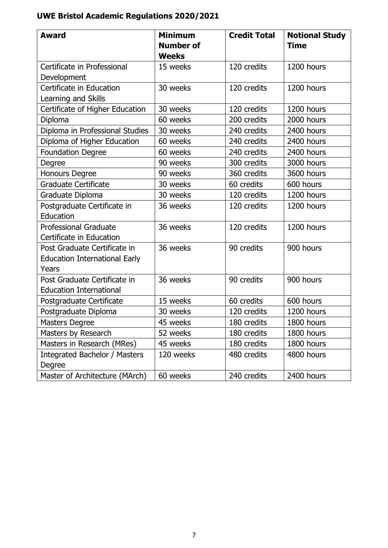| <b>Award</b>                                                                  | <b>Minimum</b><br><b>Number of</b><br><b>Weeks</b> | <b>Credit Total</b> | <b>Notional Study</b><br><b>Time</b> |
|-------------------------------------------------------------------------------|----------------------------------------------------|---------------------|--------------------------------------|
| Certificate in Professional                                                   | 15 weeks                                           | 120 credits         | 1200 hours                           |
| Development                                                                   |                                                    |                     |                                      |
| Certificate in Education<br>Learning and Skills                               | 30 weeks                                           | 120 credits         | 1200 hours                           |
| Certificate of Higher Education                                               | 30 weeks                                           | 120 credits         | 1200 hours                           |
| Diploma                                                                       | 60 weeks                                           | 200 credits         | 2000 hours                           |
| Diploma in Professional Studies                                               | 30 weeks                                           | 240 credits         | 2400 hours                           |
| Diploma of Higher Education                                                   | 60 weeks                                           | 240 credits         | 2400 hours                           |
| <b>Foundation Degree</b>                                                      | 60 weeks                                           | 240 credits         | 2400 hours                           |
| Degree                                                                        | 90 weeks                                           | 300 credits         | 3000 hours                           |
| <b>Honours Degree</b>                                                         | 90 weeks                                           | 360 credits         | 3600 hours                           |
| <b>Graduate Certificate</b>                                                   | 30 weeks                                           | 60 credits          | 600 hours                            |
| Graduate Diploma                                                              | 30 weeks                                           | 120 credits         | 1200 hours                           |
| Postgraduate Certificate in<br>Education                                      | 36 weeks                                           | 120 credits         | 1200 hours                           |
| <b>Professional Graduate</b><br>Certificate in Education                      | 36 weeks                                           | 120 credits         | 1200 hours                           |
| Post Graduate Certificate in<br><b>Education International Early</b><br>Years | 36 weeks                                           | 90 credits          | 900 hours                            |
| Post Graduate Certificate in<br><b>Education International</b>                | 36 weeks                                           | 90 credits          | 900 hours                            |
| Postgraduate Certificate                                                      | 15 weeks                                           | 60 credits          | 600 hours                            |
| Postgraduate Diploma                                                          | 30 weeks                                           | 120 credits         | 1200 hours                           |
| <b>Masters Degree</b>                                                         | 45 weeks                                           | 180 credits         | 1800 hours                           |
| Masters by Research                                                           | 52 weeks                                           | 180 credits         | 1800 hours                           |
| Masters in Research (MRes)                                                    | 45 weeks                                           | 180 credits         | 1800 hours                           |
| Integrated Bachelor / Masters<br>Degree                                       | 120 weeks                                          | 480 credits         | 4800 hours                           |
| Master of Architecture (MArch)                                                | 60 weeks                                           | 240 credits         | 2400 hours                           |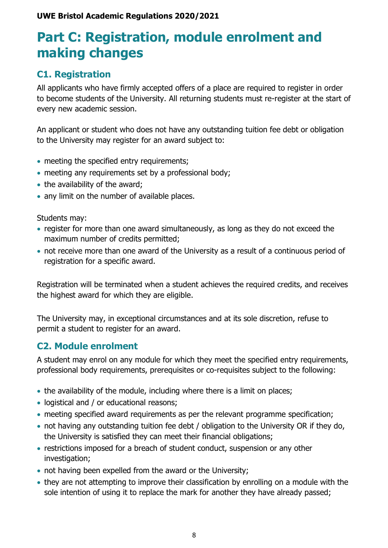## <span id="page-8-0"></span>**Part C: Registration, module enrolment and making changes**

## <span id="page-8-1"></span>**C1. Registration**

All applicants who have firmly accepted offers of a place are required to register in order to become students of the University. All returning students must re-register at the start of every new academic session.

An applicant or student who does not have any outstanding tuition fee debt or obligation to the University may register for an award subject to:

- meeting the specified entry requirements;
- meeting any requirements set by a professional body;
- the availability of the award;
- any limit on the number of available places.

Students may:

- register for more than one award simultaneously, as long as they do not exceed the maximum number of credits permitted;
- not receive more than one award of the University as a result of a continuous period of registration for a specific award.

Registration will be terminated when a student achieves the required credits, and receives the highest award for which they are eligible.

The University may, in exceptional circumstances and at its sole discretion, refuse to permit a student to register for an award.

## <span id="page-8-2"></span>**C2. Module enrolment**

A student may enrol on any module for which they meet the specified entry requirements, professional body requirements, prerequisites or co-requisites subject to the following:

- the availability of the module, including where there is a limit on places;
- logistical and / or educational reasons;
- meeting specified award requirements as per the relevant programme specification;
- not having any outstanding tuition fee debt / obligation to the University OR if they do, the University is satisfied they can meet their financial obligations;
- restrictions imposed for a breach of student conduct, suspension or any other investigation;
- not having been expelled from the award or the University;
- they are not attempting to improve their classification by enrolling on a module with the sole intention of using it to replace the mark for another they have already passed;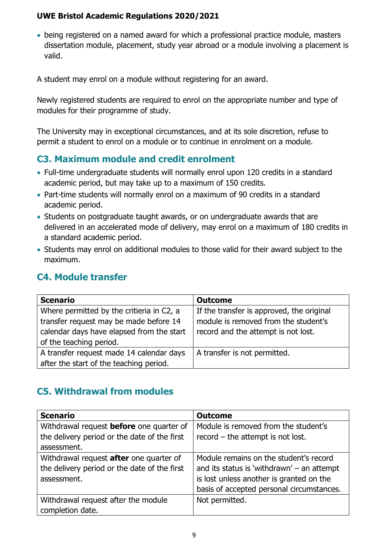• being registered on a named award for which a professional practice module, masters dissertation module, placement, study year abroad or a module involving a placement is valid.

A student may enrol on a module without registering for an award.

Newly registered students are required to enrol on the appropriate number and type of modules for their programme of study.

The University may in exceptional circumstances, and at its sole discretion, refuse to permit a student to enrol on a module or to continue in enrolment on a module.

## <span id="page-9-0"></span>**C3. Maximum module and credit enrolment**

- Full-time undergraduate students will normally enrol upon 120 credits in a standard academic period, but may take up to a maximum of 150 credits.
- Part-time students will normally enrol on a maximum of 90 credits in a standard academic period.
- Students on postgraduate taught awards, or on undergraduate awards that are delivered in an accelerated mode of delivery, may enrol on a maximum of 180 credits in a standard academic period.
- Students may enrol on additional modules to those valid for their award subject to the maximum.

## <span id="page-9-1"></span>**C4. Module transfer**

| <b>Scenario</b>                           | <b>Outcome</b>                            |
|-------------------------------------------|-------------------------------------------|
| Where permitted by the critieria in C2, a | If the transfer is approved, the original |
| transfer request may be made before 14    | module is removed from the student's      |
| calendar days have elapsed from the start | record and the attempt is not lost.       |
| of the teaching period.                   |                                           |
| A transfer request made 14 calendar days  | A transfer is not permitted.              |
| after the start of the teaching period.   |                                           |

## <span id="page-9-2"></span>**C5. Withdrawal from modules**

| <b>Scenario</b>                                 | <b>Outcome</b>                               |
|-------------------------------------------------|----------------------------------------------|
| Withdrawal request <b>before</b> one quarter of | Module is removed from the student's         |
| the delivery period or the date of the first    | $record - the attempt is not lost.$          |
| assessment.                                     |                                              |
| Withdrawal request after one quarter of         | Module remains on the student's record       |
| the delivery period or the date of the first    | and its status is 'withdrawn' $-$ an attempt |
| assessment.                                     | is lost unless another is granted on the     |
|                                                 | basis of accepted personal circumstances.    |
| Withdrawal request after the module             | Not permitted.                               |
| completion date.                                |                                              |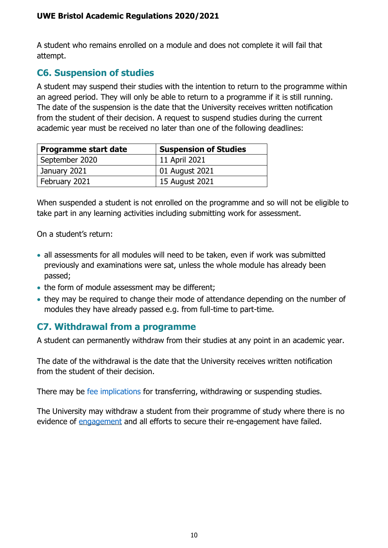A student who remains enrolled on a module and does not complete it will fail that attempt.

## <span id="page-10-0"></span>**C6. Suspension of studies**

A student may suspend their studies with the intention to return to the programme within an agreed period. They will only be able to return to a programme if it is still running. The date of the suspension is the date that the University receives written notification from the student of their decision. A request to suspend studies during the current academic year must be received no later than one of the following deadlines:

| <b>Programme start date</b> | <b>Suspension of Studies</b> |
|-----------------------------|------------------------------|
| September 2020              | 11 April 2021                |
| January 2021                | 01 August 2021               |
| February 2021               | 15 August 2021               |

When suspended a student is not enrolled on the programme and so will not be eligible to take part in any learning activities including submitting work for assessment.

On a student's return:

- all assessments for all modules will need to be taken, even if work was submitted previously and examinations were sat, unless the whole module has already been passed;
- the form of module assessment may be different;
- they may be required to change their mode of attendance depending on the number of modules they have already passed e.g. from full-time to part-time.

## <span id="page-10-1"></span>**C7. Withdrawal from a programme**

A student can permanently withdraw from their studies at any point in an academic year.

The date of the withdrawal is the date that the University receives written notification from the student of their decision.

There may be [fee implications](http://www1.uwe.ac.uk/students/feesandfunding/tuitionfees/uwetuitionfeepolicy.aspx) for transferring, withdrawing or suspending studies.

The University may withdraw a student from their programme of study where there is no evidence of [engagement](https://www1.uwe.ac.uk/its/usingitatuwe/learneranalyticsstudentsfaq.aspx) and all efforts to secure their re-engagement have failed.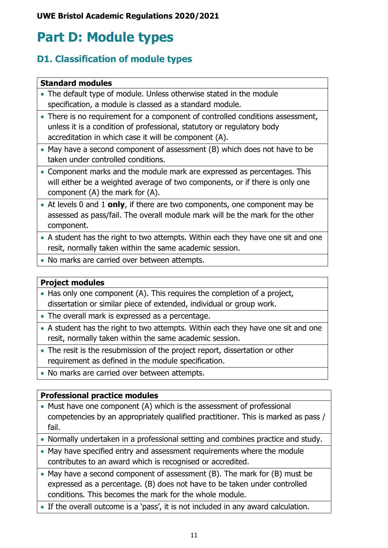## <span id="page-11-0"></span>**Part D: Module types**

## <span id="page-11-1"></span>**D1. Classification of module types**

### **Standard modules**

- The default type of module. Unless otherwise stated in the module specification, a module is classed as a standard module.
- There is no requirement for a component of controlled conditions assessment, unless it is a condition of professional, statutory or regulatory body accreditation in which case it will be component (A).
- May have a second component of assessment (B) which does not have to be taken under controlled conditions.
- Component marks and the module mark are expressed as percentages. This will either be a weighted average of two components, or if there is only one component (A) the mark for (A).
- At levels 0 and 1 **only**, if there are two components, one component may be assessed as pass/fail. The overall module mark will be the mark for the other component.
- A student has the right to two attempts. Within each they have one sit and one resit, normally taken within the same academic session.
- No marks are carried over between attempts.

### **Project modules**

- Has only one component (A). This requires the completion of a project, dissertation or similar piece of extended, individual or group work.
- The overall mark is expressed as a percentage.
- A student has the right to two attempts. Within each they have one sit and one resit, normally taken within the same academic session.
- The resit is the resubmission of the project report, dissertation or other requirement as defined in the module specification.
- No marks are carried over between attempts.

### **Professional practice modules**

- Must have one component (A) which is the assessment of professional competencies by an appropriately qualified practitioner. This is marked as pass / fail.
- Normally undertaken in a professional setting and combines practice and study.
- May have specified entry and assessment requirements where the module contributes to an award which is recognised or accredited.
- May have a second component of assessment (B). The mark for (B) must be expressed as a percentage. (B) does not have to be taken under controlled conditions. This becomes the mark for the whole module.
- If the overall outcome is a 'pass', it is not included in any award calculation.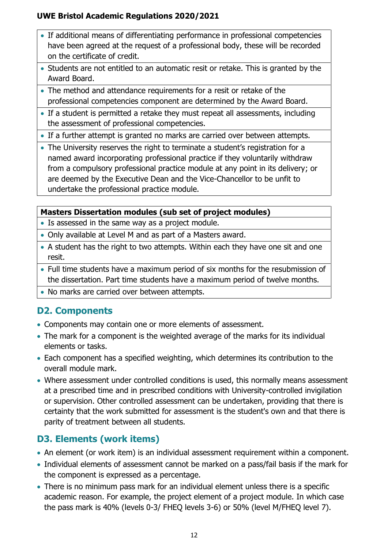- If additional means of differentiating performance in professional competencies have been agreed at the request of a professional body, these will be recorded on the certificate of credit.
- Students are not entitled to an automatic resit or retake. This is granted by the Award Board.
- The method and attendance requirements for a resit or retake of the professional competencies component are determined by the Award Board.
- If a student is permitted a retake they must repeat all assessments, including the assessment of professional competencies.
- If a further attempt is granted no marks are carried over between attempts.
- The University reserves the right to terminate a student's registration for a named award incorporating professional practice if they voluntarily withdraw from a compulsory professional practice module at any point in its delivery; or are deemed by the Executive Dean and the Vice-Chancellor to be unfit to undertake the professional practice module.

### **Masters Dissertation modules (sub set of project modules)**

- Is assessed in the same way as a project module.
- Only available at Level M and as part of a Masters award.
- A student has the right to two attempts. Within each they have one sit and one resit.
- Full time students have a maximum period of six months for the resubmission of the dissertation. Part time students have a maximum period of twelve months.
- No marks are carried over between attempts.

## <span id="page-12-0"></span>**D2. Components**

- Components may contain one or more elements of assessment.
- The mark for a component is the weighted average of the marks for its individual elements or tasks.
- Each component has a specified weighting, which determines its contribution to the overall module mark.
- Where assessment under controlled conditions is used, this normally means assessment at a prescribed time and in prescribed conditions with University-controlled invigilation or supervision. Other controlled assessment can be undertaken, providing that there is certainty that the work submitted for assessment is the student's own and that there is parity of treatment between all students.

## <span id="page-12-1"></span>**D3. Elements (work items)**

- An element (or work item) is an individual assessment requirement within a component.
- Individual elements of assessment cannot be marked on a pass/fail basis if the mark for the component is expressed as a percentage.
- There is no minimum pass mark for an individual element unless there is a specific academic reason. For example, the project element of a project module. In which case the pass mark is 40% (levels 0-3/ FHEQ levels 3-6) or 50% (level M/FHEQ level 7).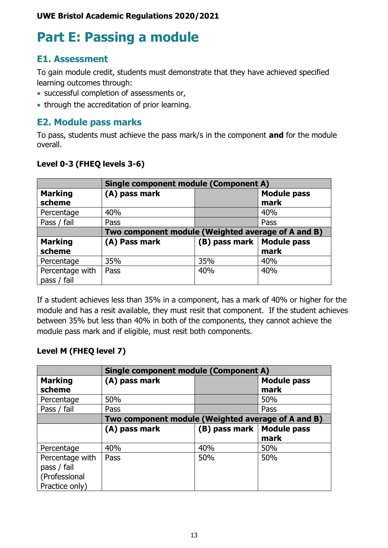## <span id="page-13-0"></span>**Part E: Passing a module**

## <span id="page-13-1"></span>**E1. Assessment**

To gain module credit, students must demonstrate that they have achieved specified learning outcomes through:

- successful completion of assessments or,
- through the accreditation of prior learning.

## <span id="page-13-2"></span>**E2. Module pass marks**

To pass, students must achieve the pass mark/s in the component **and** for the module overall.

### **Level 0-3 (FHEQ levels 3-6)**

|                                | <b>Single component module (Component A)</b>       |               |                            |
|--------------------------------|----------------------------------------------------|---------------|----------------------------|
| <b>Marking</b><br>scheme       | (A) pass mark                                      |               | <b>Module pass</b><br>mark |
| Percentage                     | 40%                                                |               | 40%                        |
| Pass / fail                    | Pass                                               |               | Pass                       |
|                                | Two component module (Weighted average of A and B) |               |                            |
| <b>Marking</b><br>scheme       | (A) Pass mark                                      | (B) pass mark | <b>Module pass</b><br>mark |
| Percentage                     | 35%                                                | 35%           | 40%                        |
| Percentage with<br>pass / fail | Pass                                               | 40%           | 40%                        |

If a student achieves less than 35% in a component, has a mark of 40% or higher for the module and has a resit available, they must resit that component. If the student achieves between 35% but less than 40% in both of the components, they cannot achieve the module pass mark and if eligible, must resit both components.

### **Level M (FHEQ level 7)**

|                                                                   | <b>Single component module (Component A)</b>       |               |                            |
|-------------------------------------------------------------------|----------------------------------------------------|---------------|----------------------------|
| <b>Marking</b><br>scheme                                          | (A) pass mark                                      |               | <b>Module pass</b><br>mark |
| Percentage                                                        | 50%                                                |               | 50%                        |
| Pass / fail                                                       | Pass                                               |               | Pass                       |
|                                                                   | Two component module (Weighted average of A and B) |               |                            |
|                                                                   | (A) pass mark                                      | (B) pass mark | <b>Module pass</b>         |
|                                                                   |                                                    |               | mark                       |
| Percentage                                                        | 40%                                                | 40%           | 50%                        |
| Percentage with<br>pass / fail<br>(Professional<br>Practice only) | Pass                                               | 50%           | 50%                        |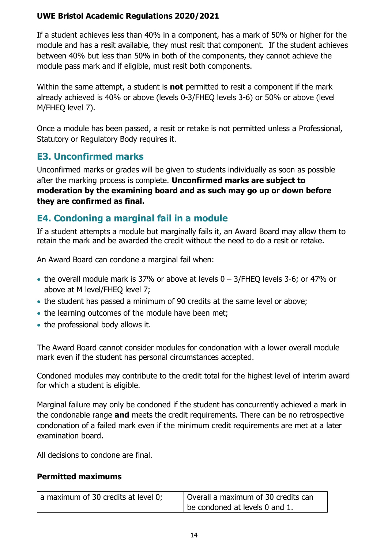If a student achieves less than 40% in a component, has a mark of 50% or higher for the module and has a resit available, they must resit that component. If the student achieves between 40% but less than 50% in both of the components, they cannot achieve the module pass mark and if eligible, must resit both components.

Within the same attempt, a student is **not** permitted to resit a component if the mark already achieved is 40% or above (levels 0-3/FHEQ levels 3-6) or 50% or above (level M/FHEQ level 7).

Once a module has been passed, a resit or retake is not permitted unless a Professional, Statutory or Regulatory Body requires it.

## <span id="page-14-0"></span>**E3. Unconfirmed marks**

Unconfirmed marks or grades will be given to students individually as soon as possible after the marking process is complete. **Unconfirmed marks are subject to moderation by the examining board and as such may go up or down before they are confirmed as final.**

## <span id="page-14-1"></span>**E4. Condoning a marginal fail in a module**

If a student attempts a module but marginally fails it, an Award Board may allow them to retain the mark and be awarded the credit without the need to do a resit or retake.

An Award Board can condone a marginal fail when:

- the overall module mark is 37% or above at levels 0 3/FHEQ levels 3-6; or 47% or above at M level/FHEQ level 7;
- the student has passed a minimum of 90 credits at the same level or above;
- the learning outcomes of the module have been met;
- the professional body allows it.

The Award Board cannot consider modules for condonation with a lower overall module mark even if the student has personal circumstances accepted.

Condoned modules may contribute to the credit total for the highest level of interim award for which a student is eligible.

Marginal failure may only be condoned if the student has concurrently achieved a mark in the condonable range **and** meets the credit requirements. There can be no retrospective condonation of a failed mark even if the minimum credit requirements are met at a later examination board.

All decisions to condone are final.

### **Permitted maximums**

| a maximum of 30 credits at level 0; | Overall a maximum of 30 credits can |
|-------------------------------------|-------------------------------------|
|                                     | be condoned at levels $0$ and $1$ . |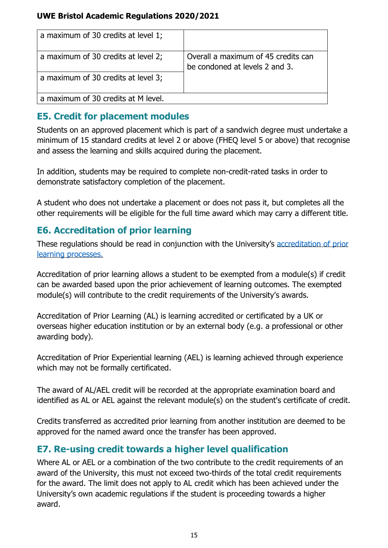| a maximum of 30 credits at level 1; |                                                                       |
|-------------------------------------|-----------------------------------------------------------------------|
| a maximum of 30 credits at level 2; | Overall a maximum of 45 credits can<br>be condoned at levels 2 and 3. |
| a maximum of 30 credits at level 3; |                                                                       |
| a maximum of 30 credits at M level. |                                                                       |

## <span id="page-15-0"></span>**E5. Credit for placement modules**

Students on an approved placement which is part of a sandwich degree must undertake a minimum of 15 standard credits at level 2 or above (FHEQ level 5 or above) that recognise and assess the learning and skills acquired during the placement.

In addition, students may be required to complete non-credit-rated tasks in order to demonstrate satisfactory completion of the placement.

A student who does not undertake a placement or does not pass it, but completes all the other requirements will be eligible for the full time award which may carry a different title.

## <span id="page-15-1"></span>**E6. Accreditation of prior learning**

These regulations should be read in conjunction with the University's [accreditation of prior](https://www1.uwe.ac.uk/students/academicadvice/suspendtransferorwithdraw/accreditedlearning.aspx)  [learning processes.](https://www1.uwe.ac.uk/students/academicadvice/suspendtransferorwithdraw/accreditedlearning.aspx)

Accreditation of prior learning allows a student to be exempted from a module(s) if credit can be awarded based upon the prior achievement of learning outcomes. The exempted module(s) will contribute to the credit requirements of the University's awards.

Accreditation of Prior Learning (AL) is learning accredited or certificated by a UK or overseas higher education institution or by an external body (e.g. a professional or other awarding body).

Accreditation of Prior Experiential learning (AEL) is learning achieved through experience which may not be formally certificated.

The award of AL/AEL credit will be recorded at the appropriate examination board and identified as AL or AEL against the relevant module(s) on the student's certificate of credit.

Credits transferred as accredited prior learning from another institution are deemed to be approved for the named award once the transfer has been approved.

## <span id="page-15-2"></span>**E7. Re-using credit towards a higher level qualification**

Where AL or AEL or a combination of the two contribute to the credit requirements of an award of the University, this must not exceed two-thirds of the total credit requirements for the award. The limit does not apply to AL credit which has been achieved under the University's own academic regulations if the student is proceeding towards a higher award.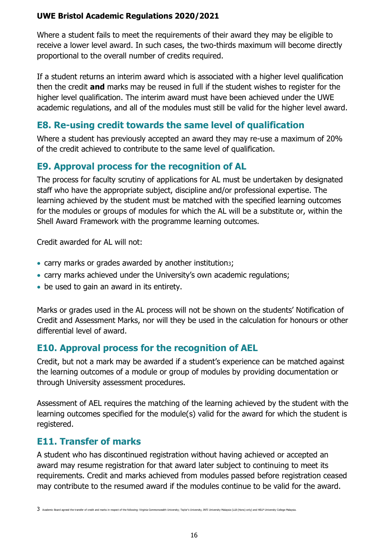Where a student fails to meet the requirements of their award they may be eligible to receive a lower level award. In such cases, the two-thirds maximum will become directly proportional to the overall number of credits required.

If a student returns an interim award which is associated with a higher level qualification then the credit **and** marks may be reused in full if the student wishes to register for the higher level qualification. The interim award must have been achieved under the UWE academic regulations, and all of the modules must still be valid for the higher level award.

## <span id="page-16-0"></span>**E8. Re-using credit towards the same level of qualification**

Where a student has previously accepted an award they may re-use a maximum of 20% of the credit achieved to contribute to the same level of qualification.

## <span id="page-16-1"></span>**E9. Approval process for the recognition of AL**

The process for faculty scrutiny of applications for AL must be undertaken by designated staff who have the appropriate subject, discipline and/or professional expertise. The learning achieved by the student must be matched with the specified learning outcomes for the modules or groups of modules for which the AL will be a substitute or, within the Shell Award Framework with the programme learning outcomes.

Credit awarded for AL will not:

- carry marks or grades awarded by another institution3;
- carry marks achieved under the University's own academic regulations;
- be used to gain an award in its entirety.

Marks or grades used in the AL process will not be shown on the students' Notification of Credit and Assessment Marks, nor will they be used in the calculation for honours or other differential level of award.

## <span id="page-16-2"></span>**E10. Approval process for the recognition of AEL**

Credit, but not a mark may be awarded if a student's experience can be matched against the learning outcomes of a module or group of modules by providing documentation or through University assessment procedures.

Assessment of AEL requires the matching of the learning achieved by the student with the learning outcomes specified for the module(s) valid for the award for which the student is registered.

## <span id="page-16-3"></span>**E11. Transfer of marks**

A student who has discontinued registration without having achieved or accepted an award may resume registration for that award later subject to continuing to meet its requirements. Credit and marks achieved from modules passed before registration ceased may contribute to the resumed award if the modules continue to be valid for the award.

 $3$  Academic Board agreed the transfer of credit and marks in respect of the following: Virginia Commonwealth University; Taylor's University, INTI University Malaysia (LLB (Hons) only) and HELP University College Malaysia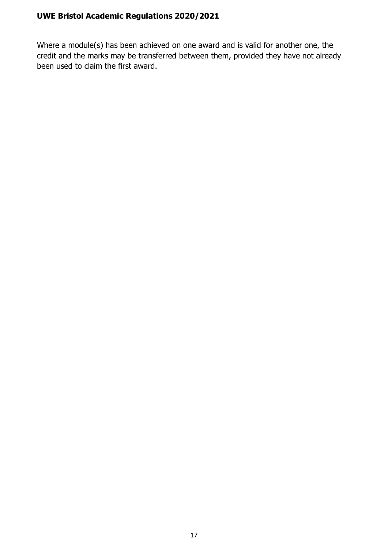Where a module(s) has been achieved on one award and is valid for another one, the credit and the marks may be transferred between them, provided they have not already been used to claim the first award.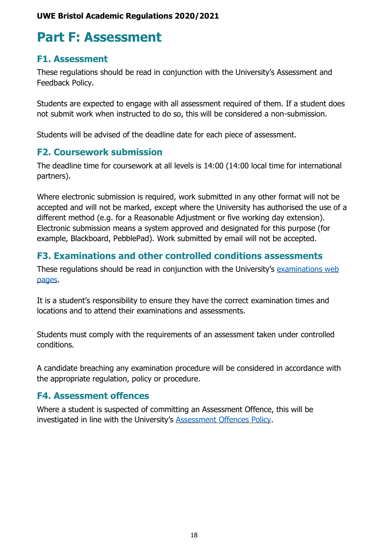## <span id="page-18-0"></span>**Part F: Assessment**

### <span id="page-18-1"></span>**F1. Assessment**

These regulations should be read in conjunction with the University's Assessment and Feedback Policy.

Students are expected to engage with all assessment required of them. If a student does not submit work when instructed to do so, this will be considered a non-submission.

Students will be advised of the deadline date for each piece of assessment.

### <span id="page-18-2"></span>**F2. Coursework submission**

The deadline time for coursework at all levels is 14:00 (14:00 local time for international partners).

Where electronic submission is required, work submitted in any other format will not be accepted and will not be marked, except where the University has authorised the use of a different method (e.g. for a Reasonable Adjustment or five working day extension). Electronic submission means a system approved and designated for this purpose (for example, Blackboard, PebblePad). Work submitted by email will not be accepted.

## <span id="page-18-3"></span>**F3. Examinations and other controlled conditions assessments**

These regulations should be read in conjunction with the University's examinations web [pages.](http://www1.uwe.ac.uk/students/academicadvice/assessments/exams.aspx)

It is a student's responsibility to ensure they have the correct examination times and locations and to attend their examinations and assessments.

Students must comply with the requirements of an assessment taken under controlled conditions.

A candidate breaching any examination procedure will be considered in accordance with the appropriate regulation, policy or procedure.

### <span id="page-18-4"></span>**F4. Assessment offences**

Where a student is suspected of committing an Assessment Offence, this will be investigated in line with the University's [Assessment Offences Policy.](http://www1.uwe.ac.uk/students/academicadvice/assessments/assessmentoffences.aspx)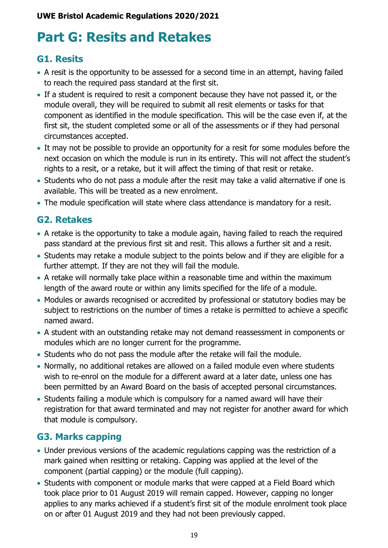## <span id="page-19-0"></span>**Part G: Resits and Retakes**

## <span id="page-19-1"></span>**G1. Resits**

- A resit is the opportunity to be assessed for a second time in an attempt, having failed to reach the required pass standard at the first sit.
- If a student is required to resit a component because they have not passed it, or the module overall, they will be required to submit all resit elements or tasks for that component as identified in the module specification. This will be the case even if, at the first sit, the student completed some or all of the assessments or if they had personal circumstances accepted.
- It may not be possible to provide an opportunity for a resit for some modules before the next occasion on which the module is run in its entirety. This will not affect the student's rights to a resit, or a retake, but it will affect the timing of that resit or retake.
- Students who do not pass a module after the resit may take a valid alternative if one is available. This will be treated as a new enrolment.
- The module specification will state where class attendance is mandatory for a resit.

## <span id="page-19-2"></span>**G2. Retakes**

- A retake is the opportunity to take a module again, having failed to reach the required pass standard at the previous first sit and resit. This allows a further sit and a resit.
- Students may retake a module subject to the points below and if they are eligible for a further attempt. If they are not they will fail the module.
- A retake will normally take place within a reasonable time and within the maximum length of the award route or within any limits specified for the life of a module.
- Modules or awards recognised or accredited by professional or statutory bodies may be subject to restrictions on the number of times a retake is permitted to achieve a specific named award.
- A student with an outstanding retake may not demand reassessment in components or modules which are no longer current for the programme.
- Students who do not pass the module after the retake will fail the module.
- Normally, no additional retakes are allowed on a failed module even where students wish to re-enrol on the module for a different award at a later date, unless one has been permitted by an Award Board on the basis of accepted personal circumstances.
- Students failing a module which is compulsory for a named award will have their registration for that award terminated and may not register for another award for which that module is compulsory.

## <span id="page-19-3"></span>**G3. Marks capping**

- Under previous versions of the academic regulations capping was the restriction of a mark gained when resitting or retaking. Capping was applied at the level of the component (partial capping) or the module (full capping).
- Students with component or module marks that were capped at a Field Board which took place prior to 01 August 2019 will remain capped. However, capping no longer applies to any marks achieved if a student's first sit of the module enrolment took place on or after 01 August 2019 and they had not been previously capped.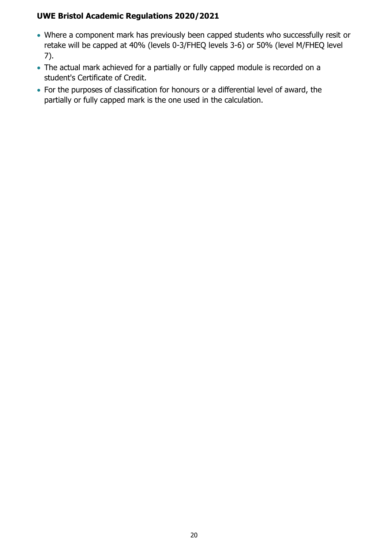- Where a component mark has previously been capped students who successfully resit or retake will be capped at 40% (levels 0-3/FHEQ levels 3-6) or 50% (level M/FHEQ level 7).
- The actual mark achieved for a partially or fully capped module is recorded on a student's Certificate of Credit.
- For the purposes of classification for honours or a differential level of award, the partially or fully capped mark is the one used in the calculation.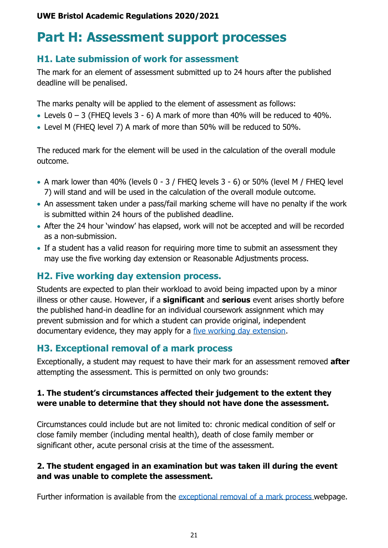## <span id="page-21-0"></span>**Part H: Assessment support processes**

### <span id="page-21-1"></span>**H1. Late submission of work for assessment**

The mark for an element of assessment submitted up to 24 hours after the published deadline will be penalised.

The marks penalty will be applied to the element of assessment as follows:

- Levels  $0 3$  (FHEQ levels  $3 6$ ) A mark of more than 40% will be reduced to 40%.
- Level M (FHEQ level 7) A mark of more than 50% will be reduced to 50%.

The reduced mark for the element will be used in the calculation of the overall module outcome.

- A mark lower than 40% (levels 0 3 / FHEQ levels 3 6) or 50% (level M / FHEQ level 7) will stand and will be used in the calculation of the overall module outcome.
- An assessment taken under a pass/fail marking scheme will have no penalty if the work is submitted within 24 hours of the published deadline.
- After the 24 hour 'window' has elapsed, work will not be accepted and will be recorded as a non-submission.
- If a student has a valid reason for requiring more time to submit an assessment they may use the five working day extension or Reasonable Adjustments process.

## <span id="page-21-2"></span>**H2. Five working day extension process.**

Students are expected to plan their workload to avoid being impacted upon by a minor illness or other cause. However, if a **significant** and **serious** event arises shortly before the published hand-in deadline for an individual coursework assignment which may prevent submission and for which a student can provide original, independent documentary evidence, they may apply for a [five working day extension.](https://www1.uwe.ac.uk/students/academicadvice/assessments/personalcircumstances/5workingdayextensions.aspx)

## <span id="page-21-3"></span>**H3. Exceptional removal of a mark process**

Exceptionally, a student may request to have their mark for an assessment removed **after**  attempting the assessment. This is permitted on only two grounds:

### **1. The student's circumstances affected their judgement to the extent they were unable to determine that they should not have done the assessment.**

Circumstances could include but are not limited to: chronic medical condition of self or close family member (including mental health), death of close family member or significant other, acute personal crisis at the time of the assessment.

### **2. The student engaged in an examination but was taken ill during the event and was unable to complete the assessment.**

Further information is available from the [exceptional removal of a mark process](http://www1.uwe.ac.uk/students/academicadvice/assessments/personalcircumstances/exceptionalremovalofamark.aspx) webpage.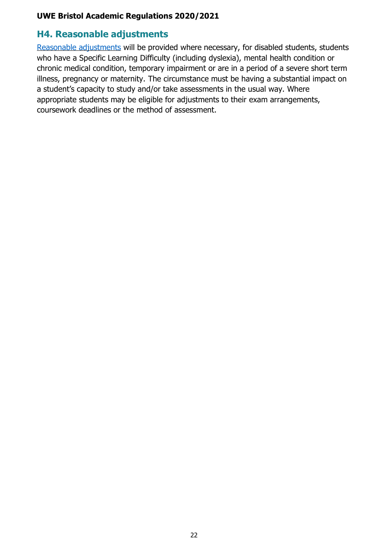### <span id="page-22-0"></span>**H4. Reasonable adjustments**

[Reasonable adjustments](http://www1.uwe.ac.uk/students/studysupport/disabilityservice/reasonableadjustments.aspx) will be provided where necessary, for disabled students, students who have a Specific Learning Difficulty (including dyslexia), mental health condition or chronic medical condition, temporary impairment or are in a period of a severe short term illness, pregnancy or maternity. The circumstance must be having a substantial impact on a student's capacity to study and/or take assessments in the usual way. Where appropriate students may be eligible for adjustments to their exam arrangements, coursework deadlines or the method of assessment.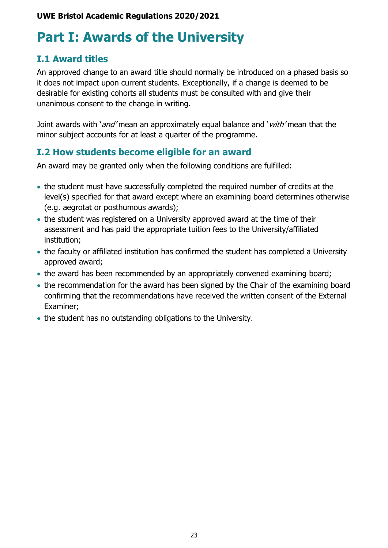## <span id="page-23-0"></span>**Part I: Awards of the University**

## <span id="page-23-1"></span>**I.1 Award titles**

An approved change to an award title should normally be introduced on a phased basis so it does not impact upon current students. Exceptionally, if a change is deemed to be desirable for existing cohorts all students must be consulted with and give their unanimous consent to the change in writing.

Joint awards with '*and'* mean an approximately equal balance and '*with'* mean that the minor subject accounts for at least a quarter of the programme.

### <span id="page-23-2"></span>**I.2 How students become eligible for an award**

An award may be granted only when the following conditions are fulfilled:

- the student must have successfully completed the required number of credits at the level(s) specified for that award except where an examining board determines otherwise (e.g. aegrotat or posthumous awards);
- the student was registered on a University approved award at the time of their assessment and has paid the appropriate tuition fees to the University/affiliated institution;
- the faculty or affiliated institution has confirmed the student has completed a University approved award;
- the award has been recommended by an appropriately convened examining board;
- the recommendation for the award has been signed by the Chair of the examining board confirming that the recommendations have received the written consent of the External Examiner;
- the student has no outstanding obligations to the University.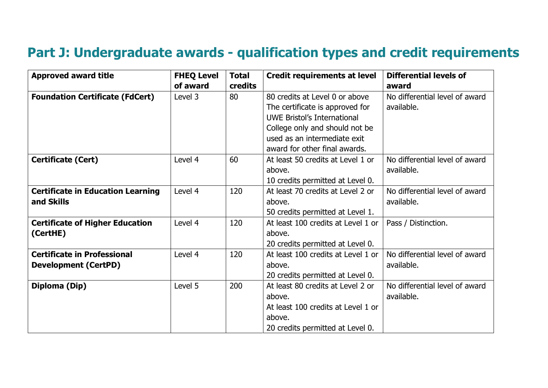## **Part J: Undergraduate awards - qualification types and credit requirements**

<span id="page-24-0"></span>

| <b>Approved award title</b>                                       | <b>FHEQ Level</b> | <b>Total</b> | <b>Credit requirements at level</b>                                                                                                                                                                        | <b>Differential levels of</b>                |
|-------------------------------------------------------------------|-------------------|--------------|------------------------------------------------------------------------------------------------------------------------------------------------------------------------------------------------------------|----------------------------------------------|
|                                                                   | of award          | credits      |                                                                                                                                                                                                            | award                                        |
| <b>Foundation Certificate (FdCert)</b>                            | Level 3           | 80           | 80 credits at Level 0 or above<br>The certificate is approved for<br><b>UWE Bristol's International</b><br>College only and should not be<br>used as an intermediate exit<br>award for other final awards. | No differential level of award<br>available. |
| <b>Certificate (Cert)</b>                                         | Level 4           | 60           | At least 50 credits at Level 1 or<br>above.<br>10 credits permitted at Level 0.                                                                                                                            | No differential level of award<br>available. |
| <b>Certificate in Education Learning</b><br>and Skills            | Level 4           | 120          | At least 70 credits at Level 2 or<br>above.<br>50 credits permitted at Level 1.                                                                                                                            | No differential level of award<br>available. |
| <b>Certificate of Higher Education</b><br>(CertHE)                | Level 4           | 120          | At least 100 credits at Level 1 or<br>above.<br>20 credits permitted at Level 0.                                                                                                                           | Pass / Distinction.                          |
| <b>Certificate in Professional</b><br><b>Development (CertPD)</b> | Level 4           | 120          | At least 100 credits at Level 1 or<br>above.<br>20 credits permitted at Level 0.                                                                                                                           | No differential level of award<br>available. |
| Diploma (Dip)                                                     | Level 5           | 200          | At least 80 credits at Level 2 or<br>above.<br>At least 100 credits at Level 1 or<br>above.<br>20 credits permitted at Level 0.                                                                            | No differential level of award<br>available. |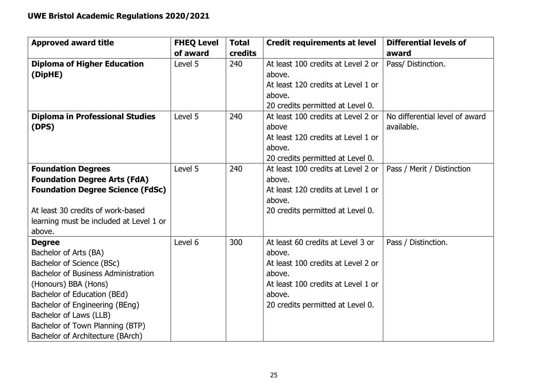| <b>Approved award title</b>                | <b>FHEQ Level</b><br>of award | <b>Total</b><br><b>credits</b> | <b>Credit requirements at level</b> | <b>Differential levels of</b>  |
|--------------------------------------------|-------------------------------|--------------------------------|-------------------------------------|--------------------------------|
|                                            |                               |                                |                                     | award                          |
| <b>Diploma of Higher Education</b>         | Level 5                       | 240                            | At least 100 credits at Level 2 or  | Pass/ Distinction.             |
| (DipHE)                                    |                               |                                | above.                              |                                |
|                                            |                               |                                | At least 120 credits at Level 1 or  |                                |
|                                            |                               |                                | above.                              |                                |
|                                            |                               |                                | 20 credits permitted at Level 0.    |                                |
| <b>Diploma in Professional Studies</b>     | Level 5                       | 240                            | At least 100 credits at Level 2 or  | No differential level of award |
| (DPS)                                      |                               |                                | above                               | available.                     |
|                                            |                               |                                | At least 120 credits at Level 1 or  |                                |
|                                            |                               |                                | above.                              |                                |
|                                            |                               |                                | 20 credits permitted at Level 0.    |                                |
| <b>Foundation Degrees</b>                  | Level 5                       | 240                            | At least 100 credits at Level 2 or  | Pass / Merit / Distinction     |
| <b>Foundation Degree Arts (FdA)</b>        |                               |                                | above.                              |                                |
| <b>Foundation Degree Science (FdSc)</b>    |                               |                                | At least 120 credits at Level 1 or  |                                |
|                                            |                               |                                | above.                              |                                |
| At least 30 credits of work-based          |                               |                                | 20 credits permitted at Level 0.    |                                |
| learning must be included at Level 1 or    |                               |                                |                                     |                                |
| above.                                     |                               |                                |                                     |                                |
| <b>Degree</b>                              | Level 6                       | 300                            | At least 60 credits at Level 3 or   | Pass / Distinction.            |
| Bachelor of Arts (BA)                      |                               |                                | above.                              |                                |
| Bachelor of Science (BSc)                  |                               |                                | At least 100 credits at Level 2 or  |                                |
| <b>Bachelor of Business Administration</b> |                               |                                | above.                              |                                |
| (Honours) BBA (Hons)                       |                               |                                | At least 100 credits at Level 1 or  |                                |
| Bachelor of Education (BEd)                |                               |                                | above.                              |                                |
| Bachelor of Engineering (BEng)             |                               |                                | 20 credits permitted at Level 0.    |                                |
| Bachelor of Laws (LLB)                     |                               |                                |                                     |                                |
| Bachelor of Town Planning (BTP)            |                               |                                |                                     |                                |
| Bachelor of Architecture (BArch)           |                               |                                |                                     |                                |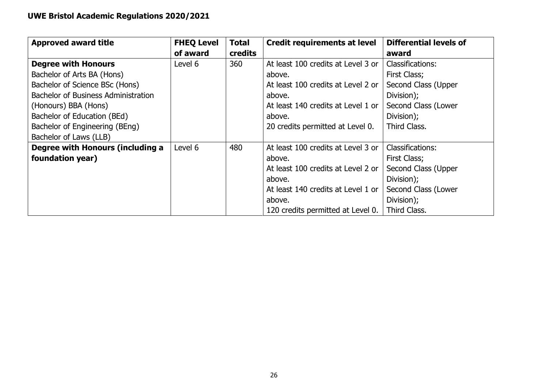| <b>Approved award title</b>                | <b>FHEQ Level</b> | Total   | <b>Credit requirements at level</b> | <b>Differential levels of</b> |
|--------------------------------------------|-------------------|---------|-------------------------------------|-------------------------------|
|                                            | of award          | credits |                                     | award                         |
| <b>Degree with Honours</b>                 | Level 6           | 360     | At least 100 credits at Level 3 or  | Classifications:              |
| Bachelor of Arts BA (Hons)                 |                   |         | above.                              | First Class;                  |
| Bachelor of Science BSc (Hons)             |                   |         | At least 100 credits at Level 2 or  | Second Class (Upper           |
| <b>Bachelor of Business Administration</b> |                   |         | above.                              | Division);                    |
| (Honours) BBA (Hons)                       |                   |         | At least 140 credits at Level 1 or  | Second Class (Lower           |
| Bachelor of Education (BEd)                |                   |         | above.                              | Division);                    |
| Bachelor of Engineering (BEng)             |                   |         | 20 credits permitted at Level 0.    | Third Class.                  |
| Bachelor of Laws (LLB)                     |                   |         |                                     |                               |
| Degree with Honours (including a           | Level 6           | 480     | At least 100 credits at Level 3 or  | <b>Classifications:</b>       |
| foundation year)                           |                   |         | above.                              | First Class;                  |
|                                            |                   |         | At least 100 credits at Level 2 or  | Second Class (Upper           |
|                                            |                   |         | above.                              | Division);                    |
|                                            |                   |         | At least 140 credits at Level 1 or  | Second Class (Lower           |
|                                            |                   |         | above.                              | Division);                    |
|                                            |                   |         | 120 credits permitted at Level 0.   | Third Class.                  |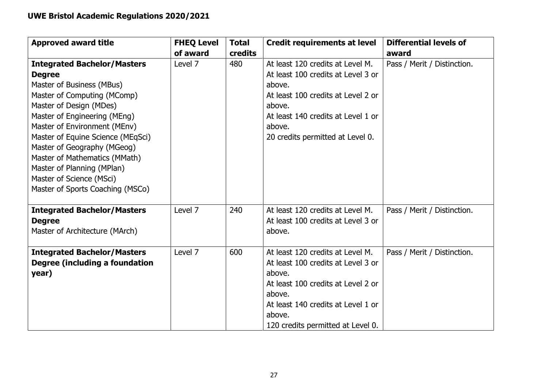| <b>Approved award title</b>                                                                                                                                                                                                                                                                                                                                                                                   | <b>FHEQ Level</b><br>of award | <b>Total</b><br>credits | <b>Credit requirements at level</b>                                                                                                                                                                                   | <b>Differential levels of</b><br>award |
|---------------------------------------------------------------------------------------------------------------------------------------------------------------------------------------------------------------------------------------------------------------------------------------------------------------------------------------------------------------------------------------------------------------|-------------------------------|-------------------------|-----------------------------------------------------------------------------------------------------------------------------------------------------------------------------------------------------------------------|----------------------------------------|
| <b>Integrated Bachelor/Masters</b><br><b>Degree</b><br>Master of Business (MBus)<br>Master of Computing (MComp)<br>Master of Design (MDes)<br>Master of Engineering (MEng)<br>Master of Environment (MEnv)<br>Master of Equine Science (MEqSci)<br>Master of Geography (MGeog)<br>Master of Mathematics (MMath)<br>Master of Planning (MPlan)<br>Master of Science (MSci)<br>Master of Sports Coaching (MSCo) | Level 7                       | 480                     | At least 120 credits at Level M.<br>At least 100 credits at Level 3 or<br>above.<br>At least 100 credits at Level 2 or<br>above.<br>At least 140 credits at Level 1 or<br>above.<br>20 credits permitted at Level 0.  | Pass / Merit / Distinction.            |
| <b>Integrated Bachelor/Masters</b><br><b>Degree</b><br>Master of Architecture (MArch)                                                                                                                                                                                                                                                                                                                         | Level 7                       | 240                     | At least 120 credits at Level M.<br>At least 100 credits at Level 3 or<br>above.                                                                                                                                      | Pass / Merit / Distinction.            |
| <b>Integrated Bachelor/Masters</b><br>Degree (including a foundation<br>year)                                                                                                                                                                                                                                                                                                                                 | Level 7                       | 600                     | At least 120 credits at Level M.<br>At least 100 credits at Level 3 or<br>above.<br>At least 100 credits at Level 2 or<br>above.<br>At least 140 credits at Level 1 or<br>above.<br>120 credits permitted at Level 0. | Pass / Merit / Distinction.            |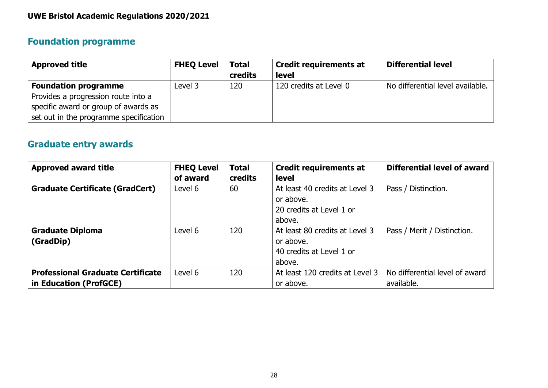## **Foundation programme**

| <b>Approved title</b>                  | <b>FHEQ Level</b> | <b>Total</b> | <b>Credit requirements at</b> | <b>Differential level</b>        |
|----------------------------------------|-------------------|--------------|-------------------------------|----------------------------------|
|                                        |                   | credits      | <b>level</b>                  |                                  |
| <b>Foundation programme</b>            | Level 3           | 120          | 120 credits at Level 0        | No differential level available. |
| Provides a progression route into a    |                   |              |                               |                                  |
| specific award or group of awards as   |                   |              |                               |                                  |
| set out in the programme specification |                   |              |                               |                                  |

## **Graduate entry awards**

| <b>Approved award title</b>              | <b>FHEQ Level</b> | <b>Total</b> | <b>Credit requirements at</b>   | <b>Differential level of award</b> |
|------------------------------------------|-------------------|--------------|---------------------------------|------------------------------------|
|                                          | of award          | credits      | <b>level</b>                    |                                    |
| <b>Graduate Certificate (GradCert)</b>   | Level 6           | 60           | At least 40 credits at Level 3  | Pass / Distinction.                |
|                                          |                   |              | or above.                       |                                    |
|                                          |                   |              | 20 credits at Level 1 or        |                                    |
|                                          |                   |              | above.                          |                                    |
| <b>Graduate Diploma</b>                  | Level 6           | 120          | At least 80 credits at Level 3  | Pass / Merit / Distinction.        |
| (GradDip)                                |                   |              | or above,                       |                                    |
|                                          |                   |              | 40 credits at Level 1 or        |                                    |
|                                          |                   |              | above.                          |                                    |
| <b>Professional Graduate Certificate</b> | Level 6           | 120          | At least 120 credits at Level 3 | No differential level of award     |
| in Education (ProfGCE)                   |                   |              | or above.                       | available.                         |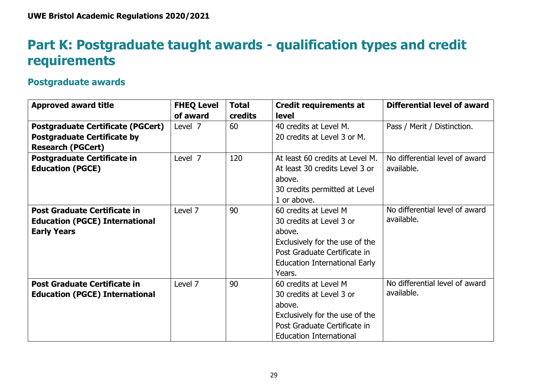## **Part K: Postgraduate taught awards - qualification types and credit requirements**

### **Postgraduate awards**

<span id="page-29-0"></span>

| <b>Approved award title</b>              | <b>FHEQ Level</b> | <b>Total</b> | <b>Credit requirements at</b>        | <b>Differential level of award</b> |
|------------------------------------------|-------------------|--------------|--------------------------------------|------------------------------------|
|                                          | of award          | credits      | <b>level</b>                         |                                    |
| <b>Postgraduate Certificate (PGCert)</b> | Level 7           | 60           | 40 credits at Level M.               | Pass / Merit / Distinction.        |
| <b>Postgraduate Certificate by</b>       |                   |              | 20 credits at Level 3 or M.          |                                    |
| <b>Research (PGCert)</b>                 |                   |              |                                      |                                    |
| Postgraduate Certificate in              | Level 7           | 120          | At least 60 credits at Level M.      | No differential level of award     |
| <b>Education (PGCE)</b>                  |                   |              | At least 30 credits Level 3 or       | available.                         |
|                                          |                   |              | above.                               |                                    |
|                                          |                   |              | 30 credits permitted at Level        |                                    |
|                                          |                   |              | 1 or above.                          |                                    |
| <b>Post Graduate Certificate in</b>      | Level 7           | 90           | 60 credits at Level M                | No differential level of award     |
| <b>Education (PGCE) International</b>    |                   |              | 30 credits at Level 3 or             | available.                         |
| <b>Early Years</b>                       |                   |              | above.                               |                                    |
|                                          |                   |              | Exclusively for the use of the       |                                    |
|                                          |                   |              | Post Graduate Certificate in         |                                    |
|                                          |                   |              | <b>Education International Early</b> |                                    |
|                                          |                   |              | Years.                               |                                    |
| <b>Post Graduate Certificate in</b>      | Level 7           | 90           | 60 credits at Level M                | No differential level of award     |
| <b>Education (PGCE) International</b>    |                   |              | 30 credits at Level 3 or             | available.                         |
|                                          |                   |              | above.                               |                                    |
|                                          |                   |              | Exclusively for the use of the       |                                    |
|                                          |                   |              | Post Graduate Certificate in         |                                    |
|                                          |                   |              | <b>Education International</b>       |                                    |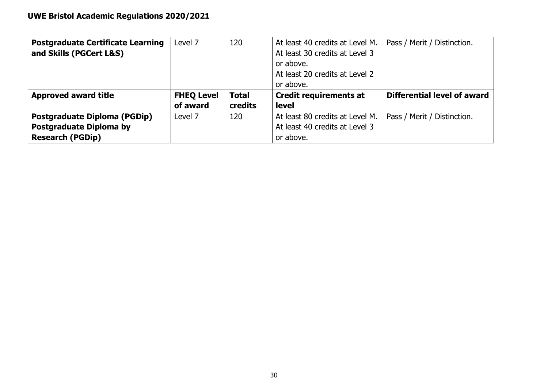| <b>Postgraduate Certificate Learning</b> | Level 7           | 120          | At least 40 credits at Level M. | Pass / Merit / Distinction. |
|------------------------------------------|-------------------|--------------|---------------------------------|-----------------------------|
| and Skills (PGCert L&S)                  |                   |              | At least 30 credits at Level 3  |                             |
|                                          |                   |              | or above.                       |                             |
|                                          |                   |              | At least 20 credits at Level 2  |                             |
|                                          |                   |              | or above.                       |                             |
|                                          |                   |              |                                 |                             |
| <b>Approved award title</b>              | <b>FHEQ Level</b> | <b>Total</b> | <b>Credit requirements at</b>   | Differential level of award |
|                                          | of award          | credits      | <b>level</b>                    |                             |
| <b>Postgraduate Diploma (PGDip)</b>      | Level 7           | 120          | At least 80 credits at Level M. | Pass / Merit / Distinction. |
| <b>Postgraduate Diploma by</b>           |                   |              | At least 40 credits at Level 3  |                             |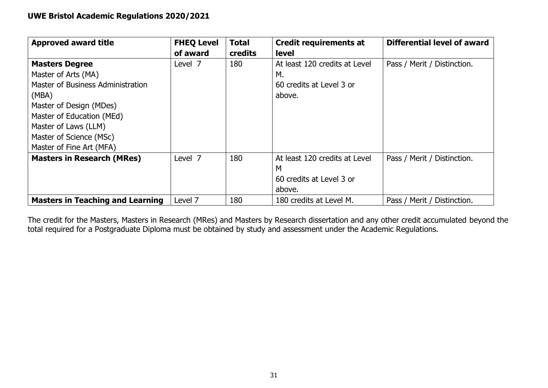| <b>Approved award title</b>             | <b>FHEQ Level</b> | <b>Total</b> | <b>Credit requirements at</b> | Differential level of award |
|-----------------------------------------|-------------------|--------------|-------------------------------|-----------------------------|
|                                         | of award          | credits      | <b>level</b>                  |                             |
| <b>Masters Degree</b>                   | Level 7           | 180          | At least 120 credits at Level | Pass / Merit / Distinction. |
| Master of Arts (MA)                     |                   |              | М.                            |                             |
| Master of Business Administration       |                   |              | 60 credits at Level 3 or      |                             |
| (MBA)                                   |                   |              | above.                        |                             |
| Master of Design (MDes)                 |                   |              |                               |                             |
| Master of Education (MEd)               |                   |              |                               |                             |
| Master of Laws (LLM)                    |                   |              |                               |                             |
| Master of Science (MSc)                 |                   |              |                               |                             |
| Master of Fine Art (MFA)                |                   |              |                               |                             |
| <b>Masters in Research (MRes)</b>       | Level 7           | 180          | At least 120 credits at Level | Pass / Merit / Distinction. |
|                                         |                   |              | M                             |                             |
|                                         |                   |              | 60 credits at Level 3 or      |                             |
|                                         |                   |              | above.                        |                             |
| <b>Masters in Teaching and Learning</b> | Level 7           | 180          | 180 credits at Level M.       | Pass / Merit / Distinction. |

The credit for the Masters, Masters in Research (MRes) and Masters by Research dissertation and any other credit accumulated beyond the total required for a Postgraduate Diploma must be obtained by study and assessment under the Academic Regulations.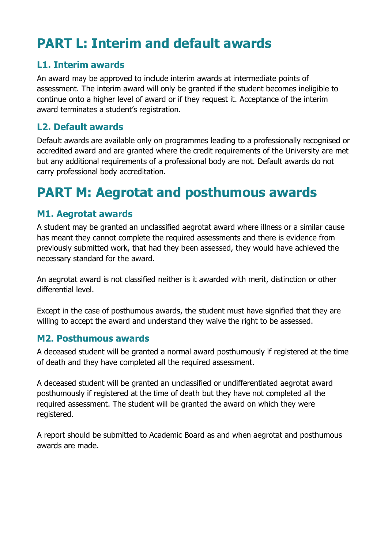## <span id="page-32-0"></span>**PART L: Interim and default awards**

## <span id="page-32-1"></span>**L1. Interim awards**

An award may be approved to include interim awards at intermediate points of assessment. The interim award will only be granted if the student becomes ineligible to continue onto a higher level of award or if they request it. Acceptance of the interim award terminates a student's registration.

## <span id="page-32-2"></span>**L2. Default awards**

Default awards are available only on programmes leading to a professionally recognised or accredited award and are granted where the credit requirements of the University are met but any additional requirements of a professional body are not. Default awards do not carry professional body accreditation.

## <span id="page-32-3"></span>**PART M: Aegrotat and posthumous awards**

### <span id="page-32-4"></span>**M1. Aegrotat awards**

A student may be granted an unclassified aegrotat award where illness or a similar cause has meant they cannot complete the required assessments and there is evidence from previously submitted work, that had they been assessed, they would have achieved the necessary standard for the award.

An aegrotat award is not classified neither is it awarded with merit, distinction or other differential level.

Except in the case of posthumous awards, the student must have signified that they are willing to accept the award and understand they waive the right to be assessed.

### <span id="page-32-5"></span>**M2. Posthumous awards**

A deceased student will be granted a normal award posthumously if registered at the time of death and they have completed all the required assessment.

A deceased student will be granted an unclassified or undifferentiated aegrotat award posthumously if registered at the time of death but they have not completed all the required assessment. The student will be granted the award on which they were registered.

A report should be submitted to Academic Board as and when aegrotat and posthumous awards are made.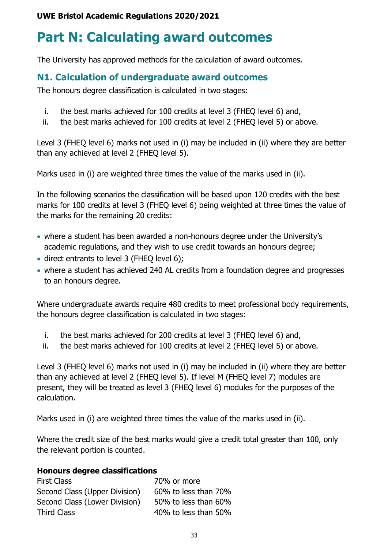## <span id="page-33-0"></span>**Part N: Calculating award outcomes**

The University has approved methods for the calculation of award outcomes.

## <span id="page-33-1"></span>**N1. Calculation of undergraduate award outcomes**

The honours degree classification is calculated in two stages:

- i. the best marks achieved for 100 credits at level 3 (FHEQ level 6) and,
- ii. the best marks achieved for 100 credits at level 2 (FHEQ level 5) or above.

Level 3 (FHEQ level 6) marks not used in (i) may be included in (ii) where they are better than any achieved at level 2 (FHEQ level 5).

Marks used in (i) are weighted three times the value of the marks used in (ii).

In the following scenarios the classification will be based upon 120 credits with the best marks for 100 credits at level 3 (FHEQ level 6) being weighted at three times the value of the marks for the remaining 20 credits:

- where a student has been awarded a non-honours degree under the University's academic regulations, and they wish to use credit towards an honours degree;
- direct entrants to level 3 (FHEQ level 6);
- where a student has achieved 240 AL credits from a foundation degree and progresses to an honours degree.

Where undergraduate awards require 480 credits to meet professional body requirements, the honours degree classification is calculated in two stages:

- i. the best marks achieved for 200 credits at level 3 (FHEQ level 6) and,
- ii. the best marks achieved for 100 credits at level 2 (FHEQ level 5) or above.

Level 3 (FHEQ level 6) marks not used in (i) may be included in (ii) where they are better than any achieved at level 2 (FHEQ level 5). If level M (FHEQ level 7) modules are present, they will be treated as level 3 (FHEQ level 6) modules for the purposes of the calculation.

Marks used in (i) are weighted three times the value of the marks used in (ii).

Where the credit size of the best marks would give a credit total greater than 100, only the relevant portion is counted.

### **Honours degree classifications**

First Class 70% or more Second Class (Upper Division) 60% to less than 70% Second Class (Lower Division) 50% to less than 60% Third Class **1000 1000 1000 1000 1000 1000 1000** 1000 1000 1000 1000 1000 1000 1000 1000 1000 1000 1000 1000 100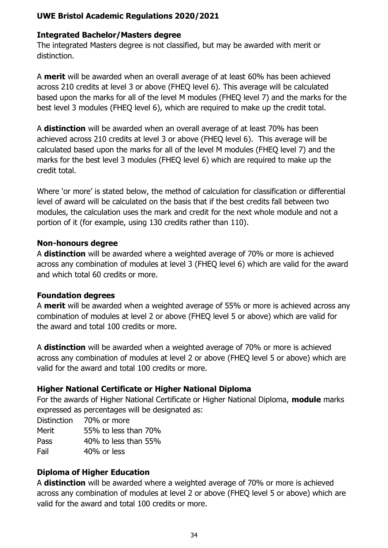### **Integrated Bachelor/Masters degree**

The integrated Masters degree is not classified, but may be awarded with merit or distinction.

A **merit** will be awarded when an overall average of at least 60% has been achieved across 210 credits at level 3 or above (FHEQ level 6). This average will be calculated based upon the marks for all of the level M modules (FHEQ level 7) and the marks for the best level 3 modules (FHEQ level 6), which are required to make up the credit total.

A **distinction** will be awarded when an overall average of at least 70% has been achieved across 210 credits at level 3 or above (FHEQ level 6). This average will be calculated based upon the marks for all of the level M modules (FHEQ level 7) and the marks for the best level 3 modules (FHEQ level 6) which are required to make up the credit total.

Where 'or more' is stated below, the method of calculation for classification or differential level of award will be calculated on the basis that if the best credits fall between two modules, the calculation uses the mark and credit for the next whole module and not a portion of it (for example, using 130 credits rather than 110).

### **Non-honours degree**

A **distinction** will be awarded where a weighted average of 70% or more is achieved across any combination of modules at level 3 (FHEQ level 6) which are valid for the award and which total 60 credits or more.

### **Foundation degrees**

A **merit** will be awarded when a weighted average of 55% or more is achieved across any combination of modules at level 2 or above (FHEQ level 5 or above) which are valid for the award and total 100 credits or more.

A **distinction** will be awarded when a weighted average of 70% or more is achieved across any combination of modules at level 2 or above (FHEQ level 5 or above) which are valid for the award and total 100 credits or more.

### **Higher National Certificate or Higher National Diploma**

For the awards of Higher National Certificate or Higher National Diploma, **module** marks expressed as percentages will be designated as:

Distinction 70% or more

Merit 55% to less than 70%

Pass 40% to less than 55%

Fail 40% or less

### **Diploma of Higher Education**

A **distinction** will be awarded where a weighted average of 70% or more is achieved across any combination of modules at level 2 or above (FHEQ level 5 or above) which are valid for the award and total 100 credits or more.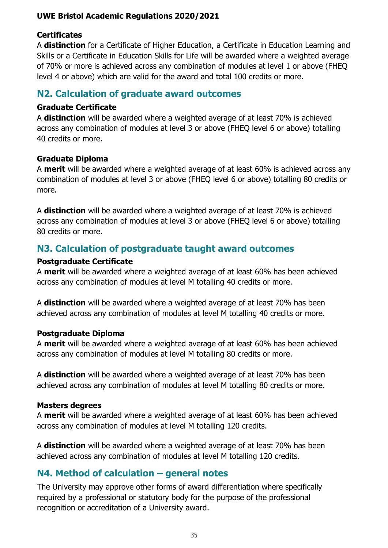### **Certificates**

A **distinction** for a Certificate of Higher Education, a Certificate in Education Learning and Skills or a Certificate in Education Skills for Life will be awarded where a weighted average of 70% or more is achieved across any combination of modules at level 1 or above (FHEQ level 4 or above) which are valid for the award and total 100 credits or more.

### <span id="page-35-0"></span>**N2. Calculation of graduate award outcomes**

### **Graduate Certificate**

A **distinction** will be awarded where a weighted average of at least 70% is achieved across any combination of modules at level 3 or above (FHEQ level 6 or above) totalling 40 credits or more.

### **Graduate Diploma**

A **merit** will be awarded where a weighted average of at least 60% is achieved across any combination of modules at level 3 or above (FHEQ level 6 or above) totalling 80 credits or more.

A **distinction** will be awarded where a weighted average of at least 70% is achieved across any combination of modules at level 3 or above (FHEQ level 6 or above) totalling 80 credits or more.

### <span id="page-35-1"></span>**N3. Calculation of postgraduate taught award outcomes**

### **Postgraduate Certificate**

A **merit** will be awarded where a weighted average of at least 60% has been achieved across any combination of modules at level M totalling 40 credits or more.

A **distinction** will be awarded where a weighted average of at least 70% has been achieved across any combination of modules at level M totalling 40 credits or more.

### **Postgraduate Diploma**

A **merit** will be awarded where a weighted average of at least 60% has been achieved across any combination of modules at level M totalling 80 credits or more.

A **distinction** will be awarded where a weighted average of at least 70% has been achieved across any combination of modules at level M totalling 80 credits or more.

### **Masters degrees**

A **merit** will be awarded where a weighted average of at least 60% has been achieved across any combination of modules at level M totalling 120 credits.

A **distinction** will be awarded where a weighted average of at least 70% has been achieved across any combination of modules at level M totalling 120 credits.

## <span id="page-35-2"></span>**N4. Method of calculation – general notes**

The University may approve other forms of award differentiation where specifically required by a professional or statutory body for the purpose of the professional recognition or accreditation of a University award.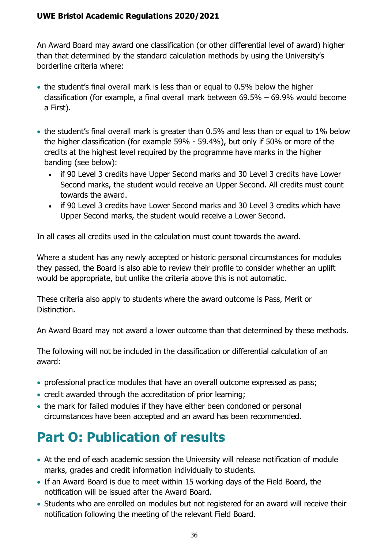An Award Board may award one classification (or other differential level of award) higher than that determined by the standard calculation methods by using the University's borderline criteria where:

- the student's final overall mark is less than or equal to 0.5% below the higher classification (for example, a final overall mark between 69.5% – 69.9% would become a First).
- the student's final overall mark is greater than 0.5% and less than or equal to 1% below the higher classification (for example 59% - 59.4%), but only if 50% or more of the credits at the highest level required by the programme have marks in the higher banding (see below):
	- if 90 Level 3 credits have Upper Second marks and 30 Level 3 credits have Lower Second marks, the student would receive an Upper Second. All credits must count towards the award.
	- if 90 Level 3 credits have Lower Second marks and 30 Level 3 credits which have Upper Second marks, the student would receive a Lower Second.

In all cases all credits used in the calculation must count towards the award.

Where a student has any newly accepted or historic personal circumstances for modules they passed, the Board is also able to review their profile to consider whether an uplift would be appropriate, but unlike the criteria above this is not automatic.

These criteria also apply to students where the award outcome is Pass, Merit or Distinction.

An Award Board may not award a lower outcome than that determined by these methods.

The following will not be included in the classification or differential calculation of an award:

- professional practice modules that have an overall outcome expressed as pass;
- credit awarded through the accreditation of prior learning;
- the mark for failed modules if they have either been condoned or personal circumstances have been accepted and an award has been recommended.

## <span id="page-36-0"></span>**Part O: Publication of results**

- At the end of each academic session the University will release notification of module marks, grades and credit information individually to students.
- If an Award Board is due to meet within 15 working days of the Field Board, the notification will be issued after the Award Board.
- Students who are enrolled on modules but not registered for an award will receive their notification following the meeting of the relevant Field Board.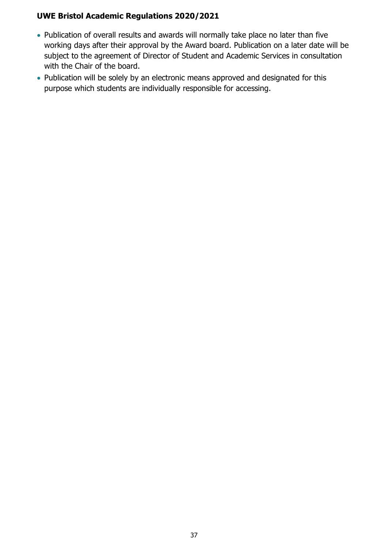- Publication of overall results and awards will normally take place no later than five working days after their approval by the Award board. Publication on a later date will be subject to the agreement of Director of Student and Academic Services in consultation with the Chair of the board.
- Publication will be solely by an electronic means approved and designated for this purpose which students are individually responsible for accessing.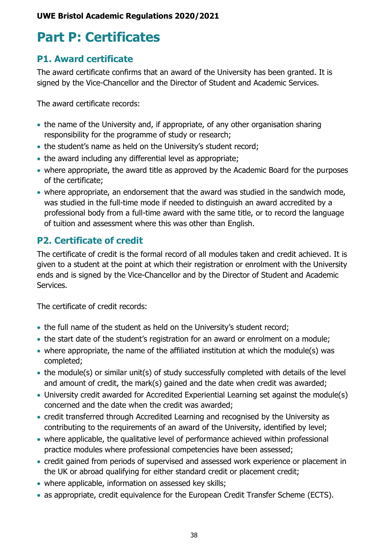## <span id="page-38-0"></span>**Part P: Certificates**

## <span id="page-38-1"></span>**P1. Award certificate**

The award certificate confirms that an award of the University has been granted. It is signed by the Vice-Chancellor and the Director of Student and Academic Services.

The award certificate records:

- the name of the University and, if appropriate, of any other organisation sharing responsibility for the programme of study or research;
- the student's name as held on the University's student record;
- the award including any differential level as appropriate;
- where appropriate, the award title as approved by the Academic Board for the purposes of the certificate;
- where appropriate, an endorsement that the award was studied in the sandwich mode, was studied in the full-time mode if needed to distinguish an award accredited by a professional body from a full-time award with the same title, or to record the language of tuition and assessment where this was other than English.

## <span id="page-38-2"></span>**P2. Certificate of credit**

The certificate of credit is the formal record of all modules taken and credit achieved. It is given to a student at the point at which their registration or enrolment with the University ends and is signed by the Vice-Chancellor and by the Director of Student and Academic Services.

The certificate of credit records:

- the full name of the student as held on the University's student record;
- the start date of the student's registration for an award or enrolment on a module;
- where appropriate, the name of the affiliated institution at which the module(s) was completed;
- the module(s) or similar unit(s) of study successfully completed with details of the level and amount of credit, the mark(s) gained and the date when credit was awarded;
- University credit awarded for Accredited Experiential Learning set against the module(s) concerned and the date when the credit was awarded;
- credit transferred through Accredited Learning and recognised by the University as contributing to the requirements of an award of the University, identified by level;
- where applicable, the qualitative level of performance achieved within professional practice modules where professional competencies have been assessed;
- credit gained from periods of supervised and assessed work experience or placement in the UK or abroad qualifying for either standard credit or placement credit;
- where applicable, information on assessed key skills;
- as appropriate, credit equivalence for the European Credit Transfer Scheme (ECTS).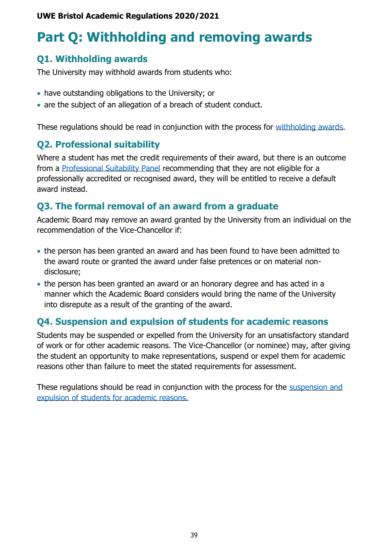## <span id="page-39-0"></span>**Part Q: Withholding and removing awards**

## <span id="page-39-1"></span>**Q1. Withholding awards**

The University may withhold awards from students who:

- have outstanding obligations to the University; or
- are the subject of an allegation of a breach of student conduct.

These regulations should be read in conjunction with the process for [withholding awards.](https://www1.uwe.ac.uk/about/departmentsandservices/professionalservices/academicservices/regulationsandquality/regulationsandprocedures/withholdingawards.aspx)

## <span id="page-39-2"></span>**Q2. Professional suitability**

Where a student has met the credit requirements of their award, but there is an outcome from a [Professional Suitability Panel](http://www2.uwe.ac.uk/services/Marketing/about-us/pdf/professional-suitability-and-conduct-procedure.pdf) recommending that they are not eligible for a professionally accredited or recognised award, they will be entitled to receive a default award instead.

## <span id="page-39-3"></span>**Q3. The formal removal of an award from a graduate**

Academic Board may remove an award granted by the University from an individual on the recommendation of the Vice-Chancellor if:

- the person has been granted an award and has been found to have been admitted to the award route or granted the award under false pretences or on material nondisclosure;
- the person has been granted an award or an honorary degree and has acted in a manner which the Academic Board considers would bring the name of the University into disrepute as a result of the granting of the award.

## <span id="page-39-4"></span>**Q4. Suspension and expulsion of students for academic reasons**

Students may be suspended or expelled from the University for an unsatisfactory standard of work or for other academic reasons. The Vice-Chancellor (or nominee) may, after giving the student an opportunity to make representations, suspend or expel them for academic reasons other than failure to meet the stated requirements for assessment.

These regulations should be read in conjunction with the process for the suspension and [expulsion of students for academic reasons.](https://www1.uwe.ac.uk/about/departmentsandservices/professionalservices/academicservices/regulationsandquality/regulationsandprocedures/suspensionforacademiccause.aspx)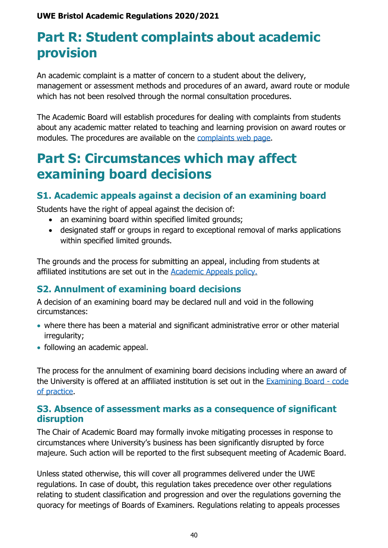## <span id="page-40-0"></span>**Part R: Student complaints about academic provision**

An academic complaint is a matter of concern to a student about the delivery, management or assessment methods and procedures of an award, award route or module which has not been resolved through the normal consultation procedures.

The Academic Board will establish procedures for dealing with complaints from students about any academic matter related to teaching and learning provision on award routes or modules. The procedures are available on the [complaints web page.](http://www1.uwe.ac.uk/about/contactus/complaints.aspx)

## <span id="page-40-1"></span>**Part S: Circumstances which may affect examining board decisions**

## <span id="page-40-2"></span>**S1. Academic appeals against a decision of an examining board**

Students have the right of appeal against the decision of:

- an examining board within specified limited grounds;
- designated staff or groups in regard to exceptional removal of marks applications within specified limited grounds.

The grounds and the process for submitting an appeal, including from students at affiliated institutions are set out in the [Academic Appeals policy.](https://www1.uwe.ac.uk/students/academicadvice/academicappeals.aspx)

## <span id="page-40-3"></span>**S2. Annulment of examining board decisions**

A decision of an examining board may be declared null and void in the following circumstances:

- where there has been a material and significant administrative error or other material irregularity;
- following an academic appeal.

The process for the annulment of examining board decisions including where an award of the University is offered at an affiliated institution is set out in the [Examining Board -](https://www1.uwe.ac.uk/about/departmentsandservices/professionalservices/studentandacademicservices/regulationspoliciesquality/regulationsandprocedures.aspx) code [of practice.](https://www1.uwe.ac.uk/about/departmentsandservices/professionalservices/studentandacademicservices/regulationspoliciesquality/regulationsandprocedures.aspx)

### <span id="page-40-4"></span>**S3. Absence of assessment marks as a consequence of significant disruption**

The Chair of Academic Board may formally invoke mitigating processes in response to circumstances where University's business has been significantly disrupted by force majeure. Such action will be reported to the first subsequent meeting of Academic Board.

Unless stated otherwise, this will cover all programmes delivered under the UWE regulations. In case of doubt, this regulation takes precedence over other regulations relating to student classification and progression and over the regulations governing the quoracy for meetings of Boards of Examiners. Regulations relating to appeals processes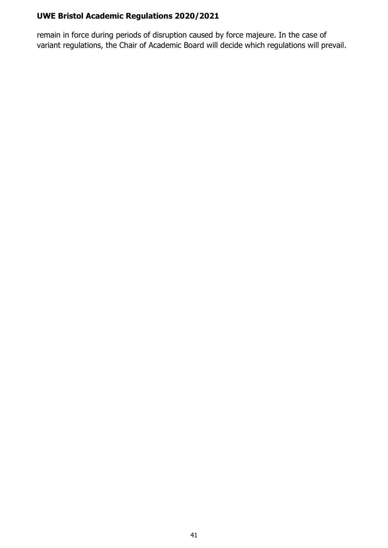remain in force during periods of disruption caused by force majeure. In the case of variant regulations, the Chair of Academic Board will decide which regulations will prevail.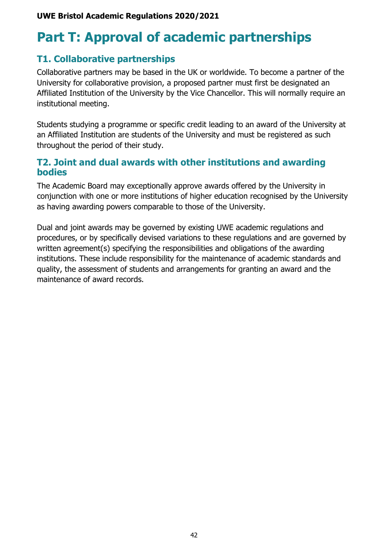## <span id="page-42-0"></span>**Part T: Approval of academic partnerships**

## <span id="page-42-1"></span>**T1. Collaborative partnerships**

Collaborative partners may be based in the UK or worldwide. To become a partner of the University for collaborative provision, a proposed partner must first be designated an Affiliated Institution of the University by the Vice Chancellor. This will normally require an institutional meeting.

Students studying a programme or specific credit leading to an award of the University at an Affiliated Institution are students of the University and must be registered as such throughout the period of their study.

### <span id="page-42-2"></span>**T2. Joint and dual awards with other institutions and awarding bodies**

The Academic Board may exceptionally approve awards offered by the University in conjunction with one or more institutions of higher education recognised by the University as having awarding powers comparable to those of the University.

Dual and joint awards may be governed by existing UWE academic regulations and procedures, or by specifically devised variations to these regulations and are governed by written agreement(s) specifying the responsibilities and obligations of the awarding institutions. These include responsibility for the maintenance of academic standards and quality, the assessment of students and arrangements for granting an award and the maintenance of award records.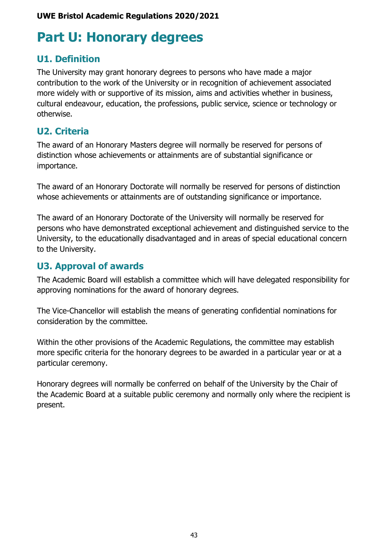## <span id="page-43-0"></span>**Part U: Honorary degrees**

## <span id="page-43-1"></span>**U1. Definition**

The University may grant honorary degrees to persons who have made a major contribution to the work of the University or in recognition of achievement associated more widely with or supportive of its mission, aims and activities whether in business, cultural endeavour, education, the professions, public service, science or technology or otherwise.

## <span id="page-43-2"></span>**U2. Criteria**

The award of an Honorary Masters degree will normally be reserved for persons of distinction whose achievements or attainments are of substantial significance or importance.

The award of an Honorary Doctorate will normally be reserved for persons of distinction whose achievements or attainments are of outstanding significance or importance.

The award of an Honorary Doctorate of the University will normally be reserved for persons who have demonstrated exceptional achievement and distinguished service to the University, to the educationally disadvantaged and in areas of special educational concern to the University.

## <span id="page-43-3"></span>**U3. Approval of awards**

The Academic Board will establish a committee which will have delegated responsibility for approving nominations for the award of honorary degrees.

The Vice-Chancellor will establish the means of generating confidential nominations for consideration by the committee.

Within the other provisions of the Academic Regulations, the committee may establish more specific criteria for the honorary degrees to be awarded in a particular year or at a particular ceremony.

Honorary degrees will normally be conferred on behalf of the University by the Chair of the Academic Board at a suitable public ceremony and normally only where the recipient is present.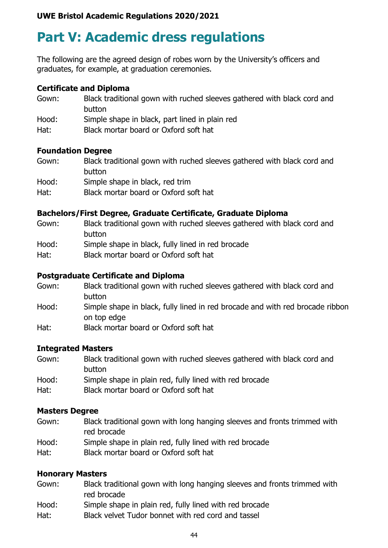## <span id="page-44-0"></span>**Part V: Academic dress regulations**

The following are the agreed design of robes worn by the University's officers and graduates, for example, at graduation ceremonies.

#### **Certificate and Diploma**

Gown: Black traditional gown with ruched sleeves gathered with black cord and button Hood: Simple shape in black, part lined in plain red Hat: Black mortar board or Oxford soft hat

#### **Foundation Degree**

- Gown: Black traditional gown with ruched sleeves gathered with black cord and button Hood: Simple shape in black, red trim
- Hat: Black mortar board or Oxford soft hat

### **Bachelors/First Degree, Graduate Certificate, Graduate Diploma**

- Gown: Black traditional gown with ruched sleeves gathered with black cord and button
- Hood: Simple shape in black, fully lined in red brocade
- Hat: Black mortar board or Oxford soft hat

#### **Postgraduate Certificate and Diploma**

- Gown: Black traditional gown with ruched sleeves gathered with black cord and button
- Hood: Simple shape in black, fully lined in red brocade and with red brocade ribbon on top edge
- Hat: Black mortar board or Oxford soft hat

### **Integrated Masters**

- Gown: Black traditional gown with ruched sleeves gathered with black cord and button
- Hood: Simple shape in plain red, fully lined with red brocade
- Hat: Black mortar board or Oxford soft hat

#### **Masters Degree**

- Gown: Black traditional gown with long hanging sleeves and fronts trimmed with red brocade
- Hood: Simple shape in plain red, fully lined with red brocade
- Hat: Black mortar board or Oxford soft hat

### **Honorary Masters**

- Gown: Black traditional gown with long hanging sleeves and fronts trimmed with red brocade
- Hood: Simple shape in plain red, fully lined with red brocade
- Hat: Black velvet Tudor bonnet with red cord and tassel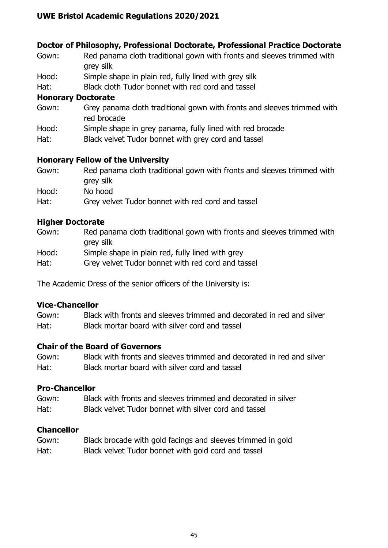### **Doctor of Philosophy, Professional Doctorate, Professional Practice Doctorate**

- Gown: Red panama cloth traditional gown with fronts and sleeves trimmed with grey silk
- Hood: Simple shape in plain red, fully lined with grey silk
- Hat: Black cloth Tudor bonnet with red cord and tassel

### **Honorary Doctorate**

- Gown: Grey panama cloth traditional gown with fronts and sleeves trimmed with red brocade
- Hood: Simple shape in grey panama, fully lined with red brocade
- Hat: Black velvet Tudor bonnet with grey cord and tassel

### **Honorary Fellow of the University**

- Gown: Red panama cloth traditional gown with fronts and sleeves trimmed with grey silk Hood: No hood
- Hat: Grey velvet Tudor bonnet with red cord and tassel

### **Higher Doctorate**

- Gown: Red panama cloth traditional gown with fronts and sleeves trimmed with grey silk
- Hood: Simple shape in plain red, fully lined with grey
- Hat: Grey velvet Tudor bonnet with red cord and tassel

The Academic Dress of the senior officers of the University is:

### **Vice-Chancellor**

Gown: Black with fronts and sleeves trimmed and decorated in red and silver Hat: Black mortar board with silver cord and tassel

### **Chair of the Board of Governors**

Gown: Black with fronts and sleeves trimmed and decorated in red and silver Hat: Black mortar board with silver cord and tassel

### **Pro-Chancellor**

Gown: Black with fronts and sleeves trimmed and decorated in silver Hat: Black velvet Tudor bonnet with silver cord and tassel

### **Chancellor**

Gown: Black brocade with gold facings and sleeves trimmed in gold Hat: Black velvet Tudor bonnet with gold cord and tassel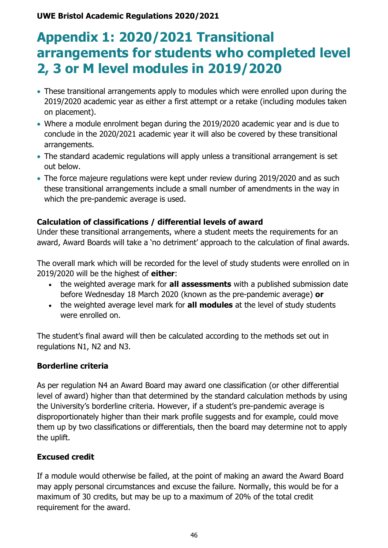## <span id="page-46-0"></span>**Appendix 1: 2020/2021 Transitional arrangements for students who completed level 2, 3 or M level modules in 2019/2020**

- These transitional arrangements apply to modules which were enrolled upon during the 2019/2020 academic year as either a first attempt or a retake (including modules taken on placement).
- Where a module enrolment began during the 2019/2020 academic year and is due to conclude in the 2020/2021 academic year it will also be covered by these transitional arrangements.
- The standard academic regulations will apply unless a transitional arrangement is set out below.
- The force majeure regulations were kept under review during 2019/2020 and as such these transitional arrangements include a small number of amendments in the way in which the pre-pandemic average is used.

### **Calculation of classifications / differential levels of award**

Under these transitional arrangements, where a student meets the requirements for an award, Award Boards will take a 'no detriment' approach to the calculation of final awards.

The overall mark which will be recorded for the level of study students were enrolled on in 2019/2020 will be the highest of **either**:

- the weighted average mark for **all assessments** with a published submission date before Wednesday 18 March 2020 (known as the pre-pandemic average) **or**
- the weighted average level mark for **all modules** at the level of study students were enrolled on.

The student's final award will then be calculated according to the methods set out in regulations N1, N2 and N3.

### **Borderline criteria**

As per regulation N4 an Award Board may award one classification (or other differential level of award) higher than that determined by the standard calculation methods by using the University's borderline criteria. However, if a student's pre-pandemic average is disproportionately higher than their mark profile suggests and for example, could move them up by two classifications or differentials, then the board may determine not to apply the uplift.

### **Excused credit**

If a module would otherwise be failed, at the point of making an award the Award Board may apply personal circumstances and excuse the failure. Normally, this would be for a maximum of 30 credits, but may be up to a maximum of 20% of the total credit requirement for the award.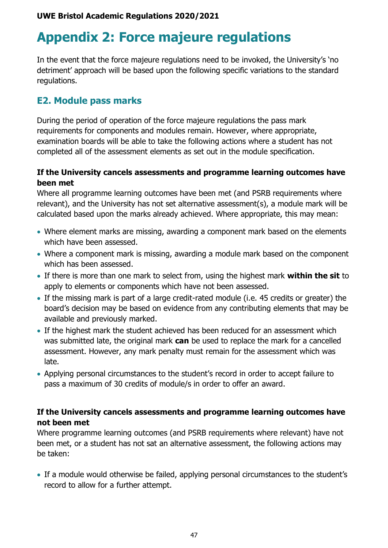## <span id="page-47-0"></span>**Appendix 2: Force majeure regulations**

In the event that the force majeure regulations need to be invoked, the University's 'no detriment' approach will be based upon the following specific variations to the standard regulations.

### **E2. Module pass marks**

During the period of operation of the force majeure regulations the pass mark requirements for components and modules remain. However, where appropriate, examination boards will be able to take the following actions where a student has not completed all of the assessment elements as set out in the module specification.

### **If the University cancels assessments and programme learning outcomes have been met**

Where all programme learning outcomes have been met (and PSRB requirements where relevant), and the University has not set alternative assessment(s), a module mark will be calculated based upon the marks already achieved. Where appropriate, this may mean:

- Where element marks are missing, awarding a component mark based on the elements which have been assessed.
- Where a component mark is missing, awarding a module mark based on the component which has been assessed.
- If there is more than one mark to select from, using the highest mark **within the sit** to apply to elements or components which have not been assessed.
- If the missing mark is part of a large credit-rated module (i.e. 45 credits or greater) the board's decision may be based on evidence from any contributing elements that may be available and previously marked.
- If the highest mark the student achieved has been reduced for an assessment which was submitted late, the original mark **can** be used to replace the mark for a cancelled assessment. However, any mark penalty must remain for the assessment which was late.
- Applying personal circumstances to the student's record in order to accept failure to pass a maximum of 30 credits of module/s in order to offer an award.

### **If the University cancels assessments and programme learning outcomes have not been met**

Where programme learning outcomes (and PSRB requirements where relevant) have not been met, or a student has not sat an alternative assessment, the following actions may be taken:

• If a module would otherwise be failed, applying personal circumstances to the student's record to allow for a further attempt.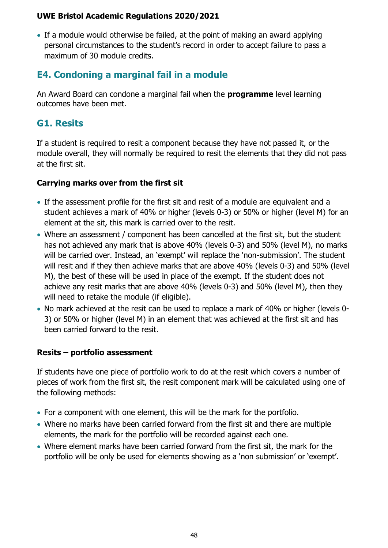• If a module would otherwise be failed, at the point of making an award applying personal circumstances to the student's record in order to accept failure to pass a maximum of 30 module credits.

## **E4. Condoning a marginal fail in a module**

An Award Board can condone a marginal fail when the **programme** level learning outcomes have been met.

## **G1. Resits**

If a student is required to resit a component because they have not passed it, or the module overall, they will normally be required to resit the elements that they did not pass at the first sit.

### **Carrying marks over from the first sit**

- If the assessment profile for the first sit and resit of a module are equivalent and a student achieves a mark of 40% or higher (levels 0-3) or 50% or higher (level M) for an element at the sit, this mark is carried over to the resit.
- Where an assessment / component has been cancelled at the first sit, but the student has not achieved any mark that is above 40% (levels 0-3) and 50% (level M), no marks will be carried over. Instead, an 'exempt' will replace the 'non-submission'. The student will resit and if they then achieve marks that are above 40% (levels 0-3) and 50% (level M), the best of these will be used in place of the exempt. If the student does not achieve any resit marks that are above 40% (levels 0-3) and 50% (level M), then they will need to retake the module (if eligible).
- No mark achieved at the resit can be used to replace a mark of 40% or higher (levels 0- 3) or 50% or higher (level M) in an element that was achieved at the first sit and has been carried forward to the resit.

### **Resits – portfolio assessment**

If students have one piece of portfolio work to do at the resit which covers a number of pieces of work from the first sit, the resit component mark will be calculated using one of the following methods:

- For a component with one element, this will be the mark for the portfolio.
- Where no marks have been carried forward from the first sit and there are multiple elements, the mark for the portfolio will be recorded against each one.
- Where element marks have been carried forward from the first sit, the mark for the portfolio will be only be used for elements showing as a 'non submission' or 'exempt'.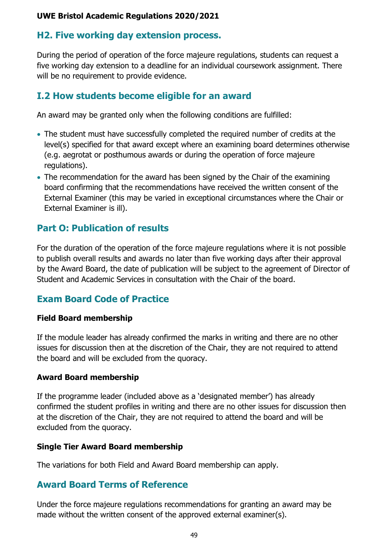### **H2. Five working day extension process.**

During the period of operation of the force majeure regulations, students can request a five working day extension to a deadline for an individual coursework assignment. There will be no requirement to provide evidence.

### **I.2 How students become eligible for an award**

An award may be granted only when the following conditions are fulfilled:

- The student must have successfully completed the required number of credits at the level(s) specified for that award except where an examining board determines otherwise (e.g. aegrotat or posthumous awards or during the operation of force majeure regulations).
- The recommendation for the award has been signed by the Chair of the examining board confirming that the recommendations have received the written consent of the External Examiner (this may be varied in exceptional circumstances where the Chair or External Examiner is ill).

## **Part O: Publication of results**

For the duration of the operation of the force majeure regulations where it is not possible to publish overall results and awards no later than five working days after their approval by the Award Board, the date of publication will be subject to the agreement of Director of Student and Academic Services in consultation with the Chair of the board.

## **Exam Board Code of Practice**

### **Field Board membership**

If the module leader has already confirmed the marks in writing and there are no other issues for discussion then at the discretion of the Chair, they are not required to attend the board and will be excluded from the quoracy.

### **Award Board membership**

If the programme leader (included above as a 'designated member') has already confirmed the student profiles in writing and there are no other issues for discussion then at the discretion of the Chair, they are not required to attend the board and will be excluded from the quoracy.

### **Single Tier Award Board membership**

The variations for both Field and Award Board membership can apply.

## **Award Board Terms of Reference**

Under the force majeure regulations recommendations for granting an award may be made without the written consent of the approved external examiner(s).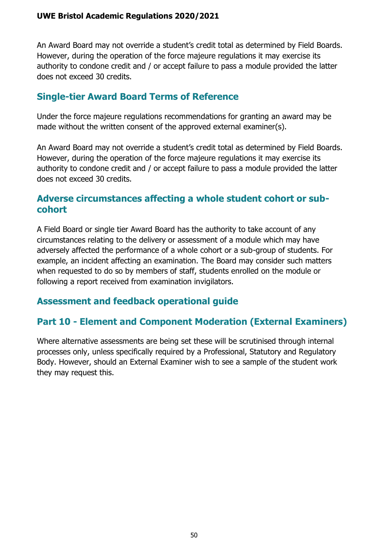An Award Board may not override a student's credit total as determined by Field Boards. However, during the operation of the force majeure regulations it may exercise its authority to condone credit and / or accept failure to pass a module provided the latter does not exceed 30 credits.

### **Single-tier Award Board Terms of Reference**

Under the force majeure regulations recommendations for granting an award may be made without the written consent of the approved external examiner(s).

An Award Board may not override a student's credit total as determined by Field Boards. However, during the operation of the force majeure regulations it may exercise its authority to condone credit and / or accept failure to pass a module provided the latter does not exceed 30 credits.

### **Adverse circumstances affecting a whole student cohort or subcohort**

A Field Board or single tier Award Board has the authority to take account of any circumstances relating to the delivery or assessment of a module which may have adversely affected the performance of a whole cohort or a sub-group of students. For example, an incident affecting an examination. The Board may consider such matters when requested to do so by members of staff, students enrolled on the module or following a report received from examination invigilators.

### **Assessment and feedback operational guide**

## **Part 10 - Element and Component Moderation (External Examiners)**

Where alternative assessments are being set these will be scrutinised through internal processes only, unless specifically required by a Professional, Statutory and Regulatory Body. However, should an External Examiner wish to see a sample of the student work they may request this.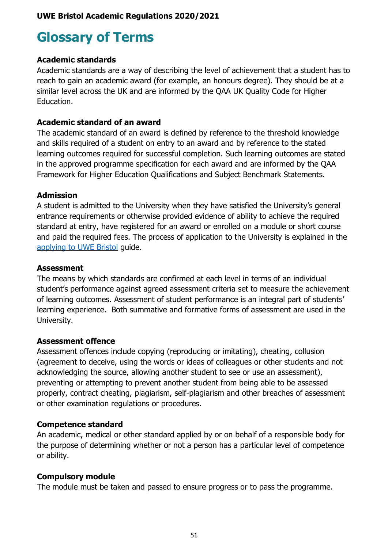## <span id="page-51-0"></span>**Glossary of Terms**

### **Academic standards**

Academic standards are a way of describing the level of achievement that a student has to reach to gain an academic award (for example, an honours degree). They should be at a similar level across the UK and are informed by the QAA UK Quality Code for Higher Education.

### **Academic standard of an award**

The academic standard of an award is defined by reference to the threshold knowledge and skills required of a student on entry to an award and by reference to the stated learning outcomes required for successful completion. Such learning outcomes are stated in the approved programme specification for each award and are informed by the QAA Framework for Higher Education Qualifications and Subject Benchmark Statements.

### **Admission**

A student is admitted to the University when they have satisfied the University's general entrance requirements or otherwise provided evidence of ability to achieve the required standard at entry, have registered for an award or enrolled on a module or short course and paid the required fees. The process of application to the University is explained in the [applying to UWE Bristol](http://www1.uwe.ac.uk/study/applyingtouwebristol.aspx) guide.

### **Assessment**

The means by which standards are confirmed at each level in terms of an individual student's performance against agreed assessment criteria set to measure the achievement of learning outcomes. Assessment of student performance is an integral part of students' learning experience. Both summative and formative forms of assessment are used in the University.

### **Assessment offence**

Assessment offences include copying (reproducing or imitating), cheating, collusion (agreement to deceive, using the words or ideas of colleagues or other students and not acknowledging the source, allowing another student to see or use an assessment), preventing or attempting to prevent another student from being able to be assessed properly, contract cheating, plagiarism, self-plagiarism and other breaches of assessment or other examination regulations or procedures.

### **Competence standard**

An academic, medical or other standard applied by or on behalf of a responsible body for the purpose of determining whether or not a person has a particular level of competence or ability.

### **Compulsory module**

The module must be taken and passed to ensure progress or to pass the programme.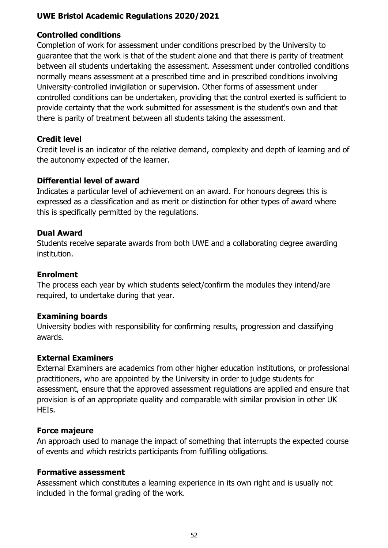#### **Controlled conditions**

Completion of work for assessment under conditions prescribed by the University to guarantee that the work is that of the student alone and that there is parity of treatment between all students undertaking the assessment. Assessment under controlled conditions normally means assessment at a prescribed time and in prescribed conditions involving University-controlled invigilation or supervision. Other forms of assessment under controlled conditions can be undertaken, providing that the control exerted is sufficient to provide certainty that the work submitted for assessment is the student's own and that there is parity of treatment between all students taking the assessment.

#### **Credit level**

Credit level is an indicator of the relative demand, complexity and depth of learning and of the autonomy expected of the learner.

#### **Differential level of award**

Indicates a particular level of achievement on an award. For honours degrees this is expressed as a classification and as merit or distinction for other types of award where this is specifically permitted by the regulations.

#### **Dual Award**

Students receive separate awards from both UWE and a collaborating degree awarding institution.

#### **Enrolment**

The process each year by which students select/confirm the modules they intend/are required, to undertake during that year.

#### **Examining boards**

University bodies with responsibility for confirming results, progression and classifying awards.

#### **External Examiners**

External Examiners are academics from other higher education institutions, or professional practitioners, who are appointed by the University in order to judge students for assessment, ensure that the approved assessment regulations are applied and ensure that provision is of an appropriate quality and comparable with similar provision in other UK HEIs.

#### **Force majeure**

An approach used to manage the impact of something that interrupts the expected course of events and which restricts participants from fulfilling obligations.

#### **Formative assessment**

Assessment which constitutes a learning experience in its own right and is usually not included in the formal grading of the work.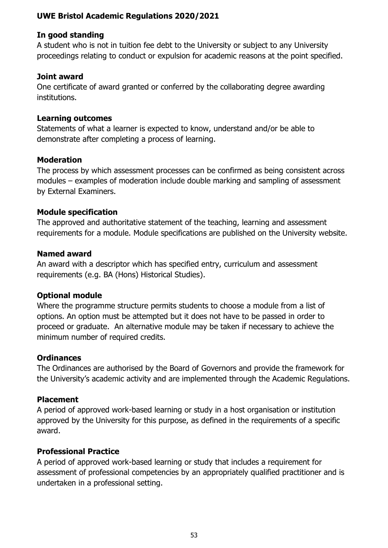#### **In good standing**

A student who is not in tuition fee debt to the University or subject to any University proceedings relating to conduct or expulsion for academic reasons at the point specified.

#### **Joint award**

One certificate of award granted or conferred by the collaborating degree awarding institutions.

#### **Learning outcomes**

Statements of what a learner is expected to know, understand and/or be able to demonstrate after completing a process of learning.

#### **Moderation**

The process by which assessment processes can be confirmed as being consistent across modules – examples of moderation include double marking and sampling of assessment by External Examiners.

### **Module specification**

The approved and authoritative statement of the teaching, learning and assessment requirements for a module. Module specifications are published on the University website.

#### **Named award**

An award with a descriptor which has specified entry, curriculum and assessment requirements (e.g. BA (Hons) Historical Studies).

### **Optional module**

Where the programme structure permits students to choose a module from a list of options. An option must be attempted but it does not have to be passed in order to proceed or graduate. An alternative module may be taken if necessary to achieve the minimum number of required credits.

### **Ordinances**

The Ordinances are authorised by the Board of Governors and provide the framework for the University's academic activity and are implemented through the Academic Regulations.

### **Placement**

A period of approved work-based learning or study in a host organisation or institution approved by the University for this purpose, as defined in the requirements of a specific award.

### **Professional Practice**

A period of approved work-based learning or study that includes a requirement for assessment of professional competencies by an appropriately qualified practitioner and is undertaken in a professional setting.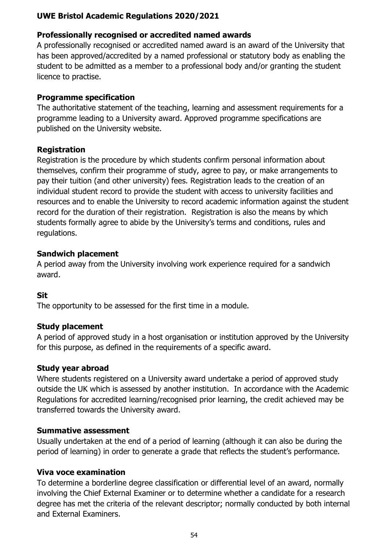### **Professionally recognised or accredited named awards**

A professionally recognised or accredited named award is an award of the University that has been approved/accredited by a named professional or statutory body as enabling the student to be admitted as a member to a professional body and/or granting the student licence to practise.

### **Programme specification**

The authoritative statement of the teaching, learning and assessment requirements for a programme leading to a University award. Approved programme specifications are published on the University website.

### **Registration**

Registration is the procedure by which students confirm personal information about themselves, confirm their programme of study, agree to pay, or make arrangements to pay their tuition (and other university) fees. Registration leads to the creation of an individual student record to provide the student with access to university facilities and resources and to enable the University to record academic information against the student record for the duration of their registration. Registration is also the means by which students formally agree to abide by the University's terms and conditions, rules and regulations.

### **Sandwich placement**

A period away from the University involving work experience required for a sandwich award.

### **Sit**

The opportunity to be assessed for the first time in a module.

### **Study placement**

A period of approved study in a host organisation or institution approved by the University for this purpose, as defined in the requirements of a specific award.

### **Study year abroad**

Where students registered on a University award undertake a period of approved study outside the UK which is assessed by another institution. In accordance with the Academic Regulations for accredited learning/recognised prior learning, the credit achieved may be transferred towards the University award.

### **Summative assessment**

Usually undertaken at the end of a period of learning (although it can also be during the period of learning) in order to generate a grade that reflects the student's performance.

### **Viva voce examination**

To determine a borderline degree classification or differential level of an award, normally involving the Chief External Examiner or to determine whether a candidate for a research degree has met the criteria of the relevant descriptor; normally conducted by both internal and External Examiners.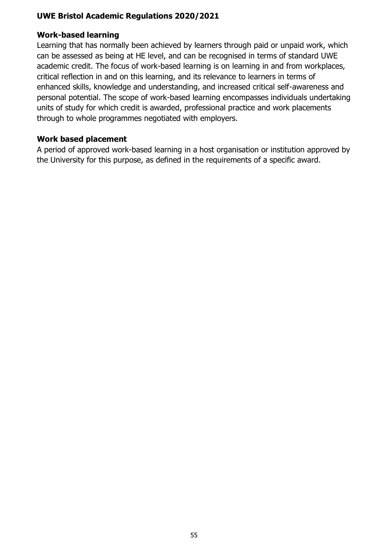#### **Work-based learning**

Learning that has normally been achieved by learners through paid or unpaid work, which can be assessed as being at HE level, and can be recognised in terms of standard UWE academic credit. The focus of work-based learning is on learning in and from workplaces, critical reflection in and on this learning, and its relevance to learners in terms of enhanced skills, knowledge and understanding, and increased critical self-awareness and personal potential. The scope of work-based learning encompasses individuals undertaking units of study for which credit is awarded, professional practice and work placements through to whole programmes negotiated with employers.

#### **Work based placement**

A period of approved work-based learning in a host organisation or institution approved by the University for this purpose, as defined in the requirements of a specific award.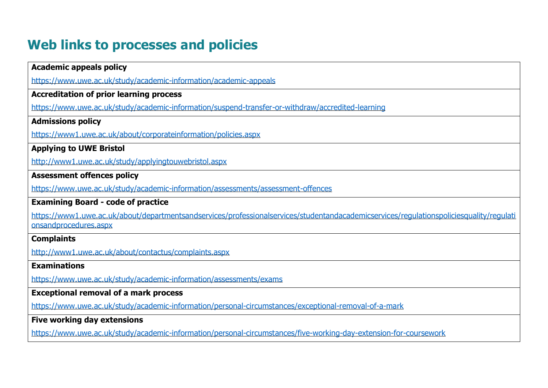## **Web links to processes and policies**

<span id="page-56-0"></span>

| <b>Academic appeals policy</b>                                                                                                                                   |
|------------------------------------------------------------------------------------------------------------------------------------------------------------------|
| https://www.uwe.ac.uk/study/academic-information/academic-appeals                                                                                                |
| <b>Accreditation of prior learning process</b>                                                                                                                   |
| https://www.uwe.ac.uk/study/academic-information/suspend-transfer-or-withdraw/accredited-learning                                                                |
| <b>Admissions policy</b>                                                                                                                                         |
| https://www1.uwe.ac.uk/about/corporateinformation/policies.aspx                                                                                                  |
| <b>Applying to UWE Bristol</b>                                                                                                                                   |
| http://www1.uwe.ac.uk/study/applyingtouwebristol.aspx                                                                                                            |
| <b>Assessment offences policy</b>                                                                                                                                |
| https://www.uwe.ac.uk/study/academic-information/assessments/assessment-offences                                                                                 |
| <b>Examining Board - code of practice</b>                                                                                                                        |
| https://www1.uwe.ac.uk/about/departmentsandservices/professionalservices/studentandacademicservices/regulationspoliciesquality/regulati<br>onsandprocedures.aspx |
| <b>Complaints</b>                                                                                                                                                |
| http://www1.uwe.ac.uk/about/contactus/complaints.aspx                                                                                                            |
| <b>Examinations</b>                                                                                                                                              |
| https://www.uwe.ac.uk/study/academic-information/assessments/exams                                                                                               |
| <b>Exceptional removal of a mark process</b>                                                                                                                     |
| https://www.uwe.ac.uk/study/academic-information/personal-circumstances/exceptional-removal-of-a-mark                                                            |
| <b>Five working day extensions</b>                                                                                                                               |
| https://www.uwe.ac.uk/study/academic-information/personal-circumstances/five-working-day-extension-for-coursework                                                |